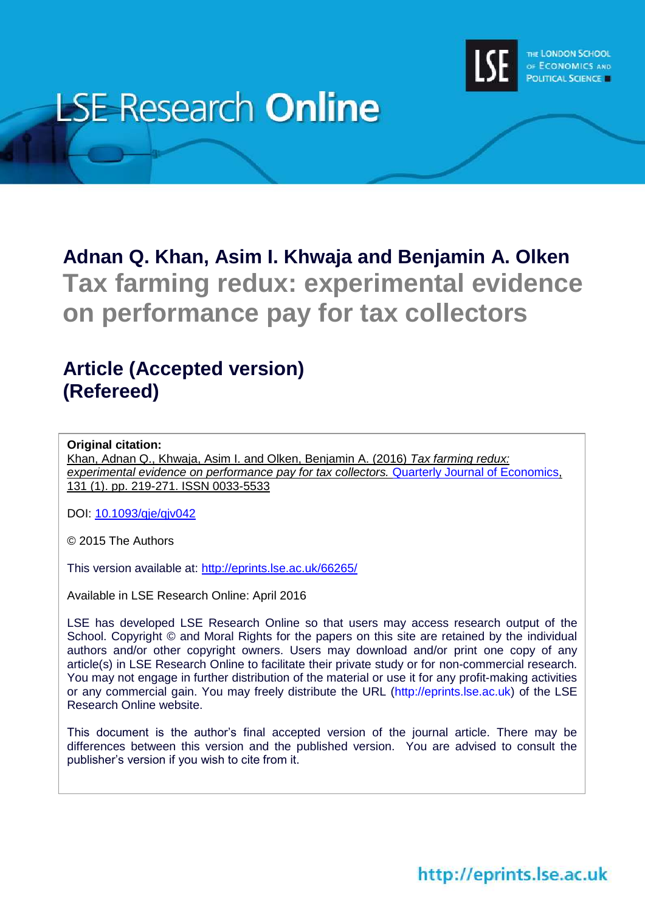

# **LSE Research Online**

# **Adnan Q. Khan, Asim I. Khwaja and Benjamin A. Olken Tax farming redux: experimental evidence on performance pay for tax collectors**

# **Article (Accepted version) (Refereed)**

# **Original citation:**

Khan, Adnan Q., Khwaja, Asim I. and Olken, Benjamin A. (2016) *Tax farming redux: experimental evidence on performance pay for tax collectors.* [Quarterly Journal of Economics,](http://qje.oxfordjournals.org/) 131 (1). pp. 219-271. ISSN 0033-5533

DOI: [10.1093/qje/qjv042](http://dx.doi.org/10.1093/qje/qjv042)

© 2015 The Authors

This version available at:<http://eprints.lse.ac.uk/66265/>

Available in LSE Research Online: April 2016

LSE has developed LSE Research Online so that users may access research output of the School. Copyright © and Moral Rights for the papers on this site are retained by the individual authors and/or other copyright owners. Users may download and/or print one copy of any article(s) in LSE Research Online to facilitate their private study or for non-commercial research. You may not engage in further distribution of the material or use it for any profit-making activities or any commercial gain. You may freely distribute the URL (http://eprints.lse.ac.uk) of the LSE Research Online website.

This document is the author's final accepted version of the journal article. There may be differences between this version and the published version. You are advised to consult the publisher's version if you wish to cite from it.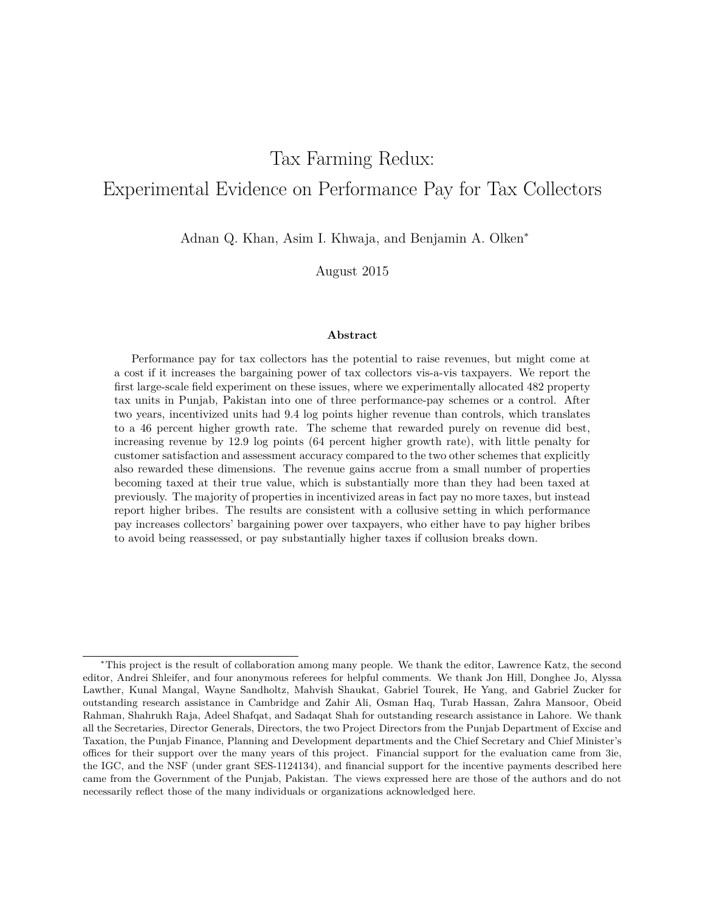# Tax Farming Redux: Experimental Evidence on Performance Pay for Tax Collectors

Adnan Q. Khan, Asim I. Khwaja, and Benjamin A. Olken<sup>∗</sup>

August 2015

#### **Abstract**

Performance pay for tax collectors has the potential to raise revenues, but might come at a cost if it increases the bargaining power of tax collectors vis-a-vis taxpayers. We report the first large-scale field experiment on these issues, where we experimentally allocated 482 property tax units in Punjab, Pakistan into one of three performance-pay schemes or a control. After two years, incentivized units had 9.4 log points higher revenue than controls, which translates to a 46 percent higher growth rate. The scheme that rewarded purely on revenue did best, increasing revenue by 12.9 log points (64 percent higher growth rate), with little penalty for customer satisfaction and assessment accuracy compared to the two other schemes that explicitly also rewarded these dimensions. The revenue gains accrue from a small number of properties becoming taxed at their true value, which is substantially more than they had been taxed at previously. The majority of properties in incentivized areas in fact pay no more taxes, but instead report higher bribes. The results are consistent with a collusive setting in which performance pay increases collectors' bargaining power over taxpayers, who either have to pay higher bribes to avoid being reassessed, or pay substantially higher taxes if collusion breaks down.

<sup>∗</sup>This project is the result of collaboration among many people. We thank the editor, Lawrence Katz, the second editor, Andrei Shleifer, and four anonymous referees for helpful comments. We thank Jon Hill, Donghee Jo, Alyssa Lawther, Kunal Mangal, Wayne Sandholtz, Mahvish Shaukat, Gabriel Tourek, He Yang, and Gabriel Zucker for outstanding research assistance in Cambridge and Zahir Ali, Osman Haq, Turab Hassan, Zahra Mansoor, Obeid Rahman, Shahrukh Raja, Adeel Shafqat, and Sadaqat Shah for outstanding research assistance in Lahore. We thank all the Secretaries, Director Generals, Directors, the two Project Directors from the Punjab Department of Excise and Taxation, the Punjab Finance, Planning and Development departments and the Chief Secretary and Chief Minister's offices for their support over the many years of this project. Financial support for the evaluation came from 3ie, the IGC, and the NSF (under grant SES-1124134), and financial support for the incentive payments described here came from the Government of the Punjab, Pakistan. The views expressed here are those of the authors and do not necessarily reflect those of the many individuals or organizations acknowledged here.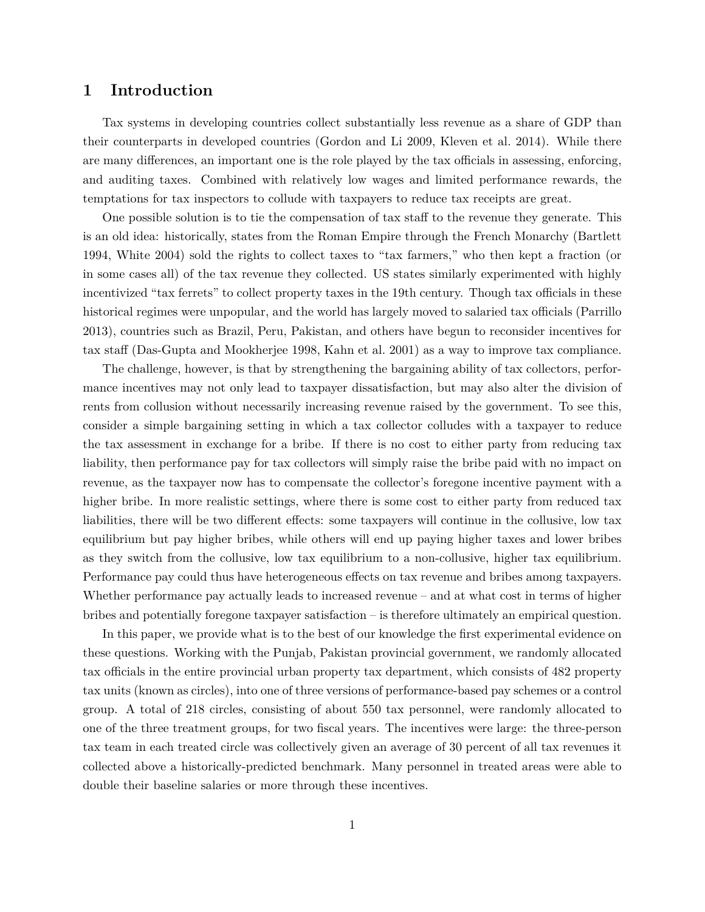# **1 Introduction**

Tax systems in developing countries collect substantially less revenue as a share of GDP than their counterparts in developed countries (Gordon and Li 2009, Kleven et al. 2014). While there are many differences, an important one is the role played by the tax officials in assessing, enforcing, and auditing taxes. Combined with relatively low wages and limited performance rewards, the temptations for tax inspectors to collude with taxpayers to reduce tax receipts are great.

One possible solution is to tie the compensation of tax staff to the revenue they generate. This is an old idea: historically, states from the Roman Empire through the French Monarchy (Bartlett 1994, White 2004) sold the rights to collect taxes to "tax farmers," who then kept a fraction (or in some cases all) of the tax revenue they collected. US states similarly experimented with highly incentivized "tax ferrets" to collect property taxes in the 19th century. Though tax officials in these historical regimes were unpopular, and the world has largely moved to salaried tax officials (Parrillo 2013), countries such as Brazil, Peru, Pakistan, and others have begun to reconsider incentives for tax staff (Das-Gupta and Mookherjee 1998, Kahn et al. 2001) as a way to improve tax compliance.

The challenge, however, is that by strengthening the bargaining ability of tax collectors, performance incentives may not only lead to taxpayer dissatisfaction, but may also alter the division of rents from collusion without necessarily increasing revenue raised by the government. To see this, consider a simple bargaining setting in which a tax collector colludes with a taxpayer to reduce the tax assessment in exchange for a bribe. If there is no cost to either party from reducing tax liability, then performance pay for tax collectors will simply raise the bribe paid with no impact on revenue, as the taxpayer now has to compensate the collector's foregone incentive payment with a higher bribe. In more realistic settings, where there is some cost to either party from reduced tax liabilities, there will be two different effects: some taxpayers will continue in the collusive, low tax equilibrium but pay higher bribes, while others will end up paying higher taxes and lower bribes as they switch from the collusive, low tax equilibrium to a non-collusive, higher tax equilibrium. Performance pay could thus have heterogeneous effects on tax revenue and bribes among taxpayers. Whether performance pay actually leads to increased revenue – and at what cost in terms of higher bribes and potentially foregone taxpayer satisfaction – is therefore ultimately an empirical question.

In this paper, we provide what is to the best of our knowledge the first experimental evidence on these questions. Working with the Punjab, Pakistan provincial government, we randomly allocated tax officials in the entire provincial urban property tax department, which consists of 482 property tax units (known as circles), into one of three versions of performance-based pay schemes or a control group. A total of 218 circles, consisting of about 550 tax personnel, were randomly allocated to one of the three treatment groups, for two fiscal years. The incentives were large: the three-person tax team in each treated circle was collectively given an average of 30 percent of all tax revenues it collected above a historically-predicted benchmark. Many personnel in treated areas were able to double their baseline salaries or more through these incentives.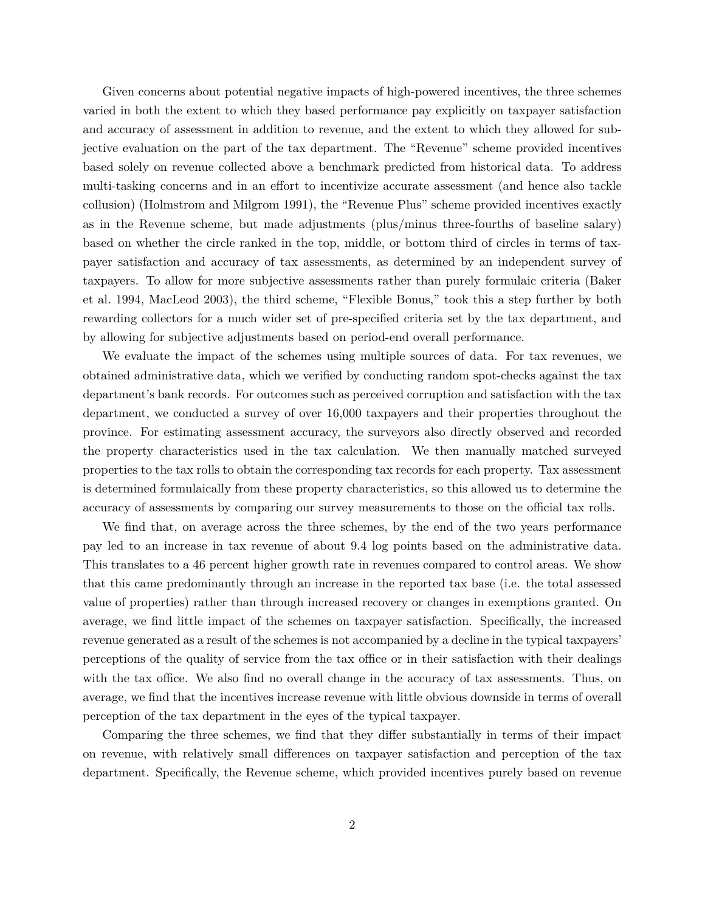Given concerns about potential negative impacts of high-powered incentives, the three schemes varied in both the extent to which they based performance pay explicitly on taxpayer satisfaction and accuracy of assessment in addition to revenue, and the extent to which they allowed for subjective evaluation on the part of the tax department. The "Revenue" scheme provided incentives based solely on revenue collected above a benchmark predicted from historical data. To address multi-tasking concerns and in an effort to incentivize accurate assessment (and hence also tackle collusion) (Holmstrom and Milgrom 1991), the "Revenue Plus" scheme provided incentives exactly as in the Revenue scheme, but made adjustments (plus/minus three-fourths of baseline salary) based on whether the circle ranked in the top, middle, or bottom third of circles in terms of taxpayer satisfaction and accuracy of tax assessments, as determined by an independent survey of taxpayers. To allow for more subjective assessments rather than purely formulaic criteria (Baker et al. 1994, MacLeod 2003), the third scheme, "Flexible Bonus," took this a step further by both rewarding collectors for a much wider set of pre-specified criteria set by the tax department, and by allowing for subjective adjustments based on period-end overall performance.

We evaluate the impact of the schemes using multiple sources of data. For tax revenues, we obtained administrative data, which we verified by conducting random spot-checks against the tax department's bank records. For outcomes such as perceived corruption and satisfaction with the tax department, we conducted a survey of over 16,000 taxpayers and their properties throughout the province. For estimating assessment accuracy, the surveyors also directly observed and recorded the property characteristics used in the tax calculation. We then manually matched surveyed properties to the tax rolls to obtain the corresponding tax records for each property. Tax assessment is determined formulaically from these property characteristics, so this allowed us to determine the accuracy of assessments by comparing our survey measurements to those on the official tax rolls.

We find that, on average across the three schemes, by the end of the two years performance pay led to an increase in tax revenue of about 9.4 log points based on the administrative data. This translates to a 46 percent higher growth rate in revenues compared to control areas. We show that this came predominantly through an increase in the reported tax base (i.e. the total assessed value of properties) rather than through increased recovery or changes in exemptions granted. On average, we find little impact of the schemes on taxpayer satisfaction. Specifically, the increased revenue generated as a result of the schemes is not accompanied by a decline in the typical taxpayers' perceptions of the quality of service from the tax office or in their satisfaction with their dealings with the tax office. We also find no overall change in the accuracy of tax assessments. Thus, on average, we find that the incentives increase revenue with little obvious downside in terms of overall perception of the tax department in the eyes of the typical taxpayer.

Comparing the three schemes, we find that they differ substantially in terms of their impact on revenue, with relatively small differences on taxpayer satisfaction and perception of the tax department. Specifically, the Revenue scheme, which provided incentives purely based on revenue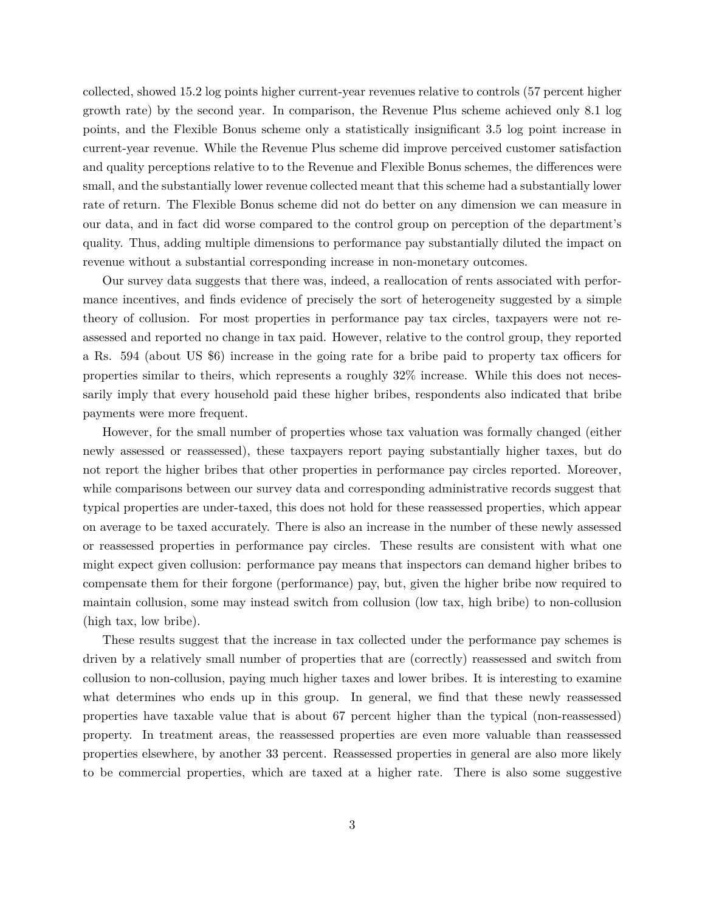collected, showed 15.2 log points higher current-year revenues relative to controls (57 percent higher growth rate) by the second year. In comparison, the Revenue Plus scheme achieved only 8.1 log points, and the Flexible Bonus scheme only a statistically insignificant 3.5 log point increase in current-year revenue. While the Revenue Plus scheme did improve perceived customer satisfaction and quality perceptions relative to to the Revenue and Flexible Bonus schemes, the differences were small, and the substantially lower revenue collected meant that this scheme had a substantially lower rate of return. The Flexible Bonus scheme did not do better on any dimension we can measure in our data, and in fact did worse compared to the control group on perception of the department's quality. Thus, adding multiple dimensions to performance pay substantially diluted the impact on revenue without a substantial corresponding increase in non-monetary outcomes.

Our survey data suggests that there was, indeed, a reallocation of rents associated with performance incentives, and finds evidence of precisely the sort of heterogeneity suggested by a simple theory of collusion. For most properties in performance pay tax circles, taxpayers were not reassessed and reported no change in tax paid. However, relative to the control group, they reported a Rs. 594 (about US \$6) increase in the going rate for a bribe paid to property tax officers for properties similar to theirs, which represents a roughly 32% increase. While this does not necessarily imply that every household paid these higher bribes, respondents also indicated that bribe payments were more frequent.

However, for the small number of properties whose tax valuation was formally changed (either newly assessed or reassessed), these taxpayers report paying substantially higher taxes, but do not report the higher bribes that other properties in performance pay circles reported. Moreover, while comparisons between our survey data and corresponding administrative records suggest that typical properties are under-taxed, this does not hold for these reassessed properties, which appear on average to be taxed accurately. There is also an increase in the number of these newly assessed or reassessed properties in performance pay circles. These results are consistent with what one might expect given collusion: performance pay means that inspectors can demand higher bribes to compensate them for their forgone (performance) pay, but, given the higher bribe now required to maintain collusion, some may instead switch from collusion (low tax, high bribe) to non-collusion (high tax, low bribe).

These results suggest that the increase in tax collected under the performance pay schemes is driven by a relatively small number of properties that are (correctly) reassessed and switch from collusion to non-collusion, paying much higher taxes and lower bribes. It is interesting to examine what determines who ends up in this group. In general, we find that these newly reassessed properties have taxable value that is about 67 percent higher than the typical (non-reassessed) property. In treatment areas, the reassessed properties are even more valuable than reassessed properties elsewhere, by another 33 percent. Reassessed properties in general are also more likely to be commercial properties, which are taxed at a higher rate. There is also some suggestive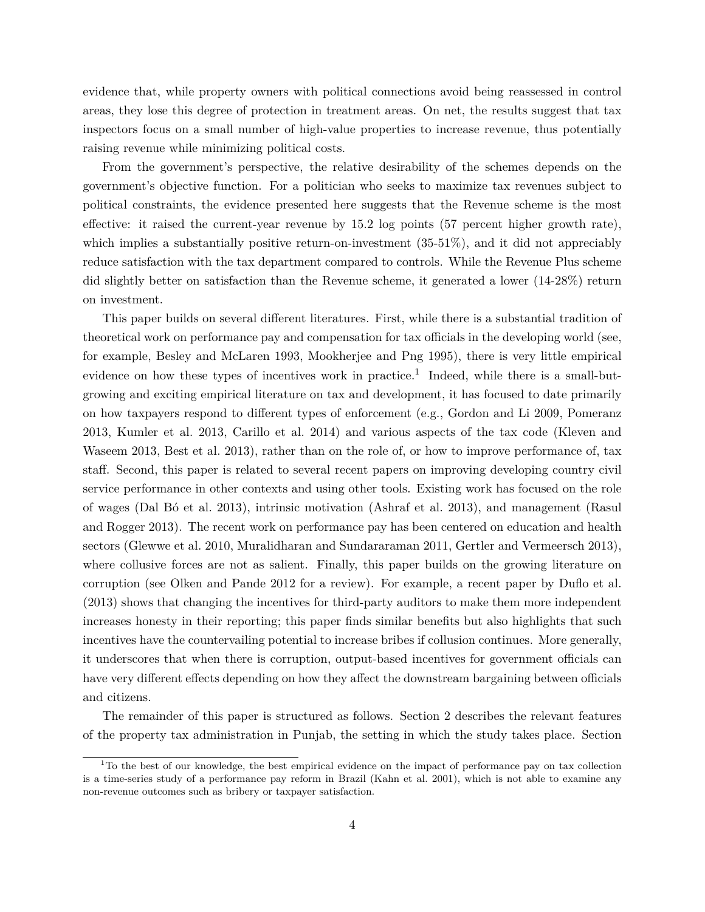evidence that, while property owners with political connections avoid being reassessed in control areas, they lose this degree of protection in treatment areas. On net, the results suggest that tax inspectors focus on a small number of high-value properties to increase revenue, thus potentially raising revenue while minimizing political costs.

From the government's perspective, the relative desirability of the schemes depends on the government's objective function. For a politician who seeks to maximize tax revenues subject to political constraints, the evidence presented here suggests that the Revenue scheme is the most effective: it raised the current-year revenue by 15.2 log points (57 percent higher growth rate), which implies a substantially positive return-on-investment  $(35-51\%)$ , and it did not appreciably reduce satisfaction with the tax department compared to controls. While the Revenue Plus scheme did slightly better on satisfaction than the Revenue scheme, it generated a lower (14-28%) return on investment.

This paper builds on several different literatures. First, while there is a substantial tradition of theoretical work on performance pay and compensation for tax officials in the developing world (see, for example, Besley and McLaren 1993, Mookherjee and Png 1995), there is very little empirical evidence on how these types of incentives work in practice.<sup>1</sup> Indeed, while there is a small-butgrowing and exciting empirical literature on tax and development, it has focused to date primarily on how taxpayers respond to different types of enforcement (e.g., Gordon and Li 2009, Pomeranz 2013, Kumler et al. 2013, Carillo et al. 2014) and various aspects of the tax code (Kleven and Waseem 2013, Best et al. 2013), rather than on the role of, or how to improve performance of, tax staff. Second, this paper is related to several recent papers on improving developing country civil service performance in other contexts and using other tools. Existing work has focused on the role of wages (Dal Bó et al. 2013), intrinsic motivation (Ashraf et al. 2013), and management (Rasul and Rogger 2013). The recent work on performance pay has been centered on education and health sectors (Glewwe et al. 2010, Muralidharan and Sundararaman 2011, Gertler and Vermeersch 2013), where collusive forces are not as salient. Finally, this paper builds on the growing literature on corruption (see Olken and Pande 2012 for a review). For example, a recent paper by Duflo et al. (2013) shows that changing the incentives for third-party auditors to make them more independent increases honesty in their reporting; this paper finds similar benefits but also highlights that such incentives have the countervailing potential to increase bribes if collusion continues. More generally, it underscores that when there is corruption, output-based incentives for government officials can have very different effects depending on how they affect the downstream bargaining between officials and citizens.

The remainder of this paper is structured as follows. Section 2 describes the relevant features of the property tax administration in Punjab, the setting in which the study takes place. Section

<sup>&</sup>lt;sup>1</sup>To the best of our knowledge, the best empirical evidence on the impact of performance pay on tax collection is a time-series study of a performance pay reform in Brazil (Kahn et al. 2001), which is not able to examine any non-revenue outcomes such as bribery or taxpayer satisfaction.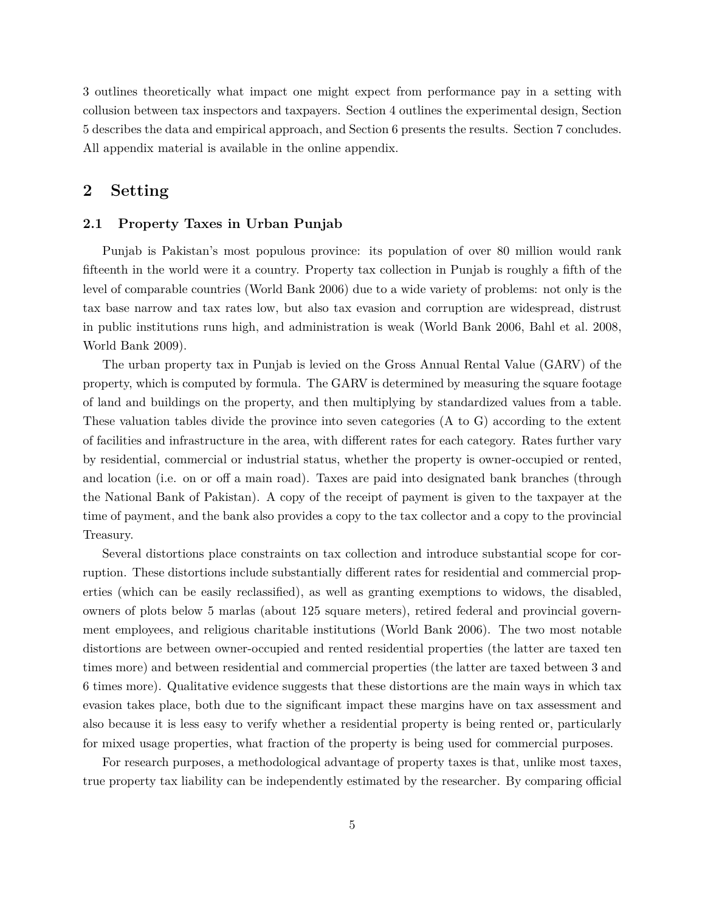3 outlines theoretically what impact one might expect from performance pay in a setting with collusion between tax inspectors and taxpayers. Section 4 outlines the experimental design, Section 5 describes the data and empirical approach, and Section 6 presents the results. Section 7 concludes. All appendix material is available in the online appendix.

# **2 Setting**

#### **2.1 Property Taxes in Urban Punjab**

Punjab is Pakistan's most populous province: its population of over 80 million would rank fifteenth in the world were it a country. Property tax collection in Punjab is roughly a fifth of the level of comparable countries (World Bank 2006) due to a wide variety of problems: not only is the tax base narrow and tax rates low, but also tax evasion and corruption are widespread, distrust in public institutions runs high, and administration is weak (World Bank 2006, Bahl et al. 2008, World Bank 2009).

The urban property tax in Punjab is levied on the Gross Annual Rental Value (GARV) of the property, which is computed by formula. The GARV is determined by measuring the square footage of land and buildings on the property, and then multiplying by standardized values from a table. These valuation tables divide the province into seven categories (A to G) according to the extent of facilities and infrastructure in the area, with different rates for each category. Rates further vary by residential, commercial or industrial status, whether the property is owner-occupied or rented, and location (i.e. on or off a main road). Taxes are paid into designated bank branches (through the National Bank of Pakistan). A copy of the receipt of payment is given to the taxpayer at the time of payment, and the bank also provides a copy to the tax collector and a copy to the provincial Treasury.

Several distortions place constraints on tax collection and introduce substantial scope for corruption. These distortions include substantially different rates for residential and commercial properties (which can be easily reclassified), as well as granting exemptions to widows, the disabled, owners of plots below 5 marlas (about 125 square meters), retired federal and provincial government employees, and religious charitable institutions (World Bank 2006). The two most notable distortions are between owner-occupied and rented residential properties (the latter are taxed ten times more) and between residential and commercial properties (the latter are taxed between 3 and 6 times more). Qualitative evidence suggests that these distortions are the main ways in which tax evasion takes place, both due to the significant impact these margins have on tax assessment and also because it is less easy to verify whether a residential property is being rented or, particularly for mixed usage properties, what fraction of the property is being used for commercial purposes.

For research purposes, a methodological advantage of property taxes is that, unlike most taxes, true property tax liability can be independently estimated by the researcher. By comparing official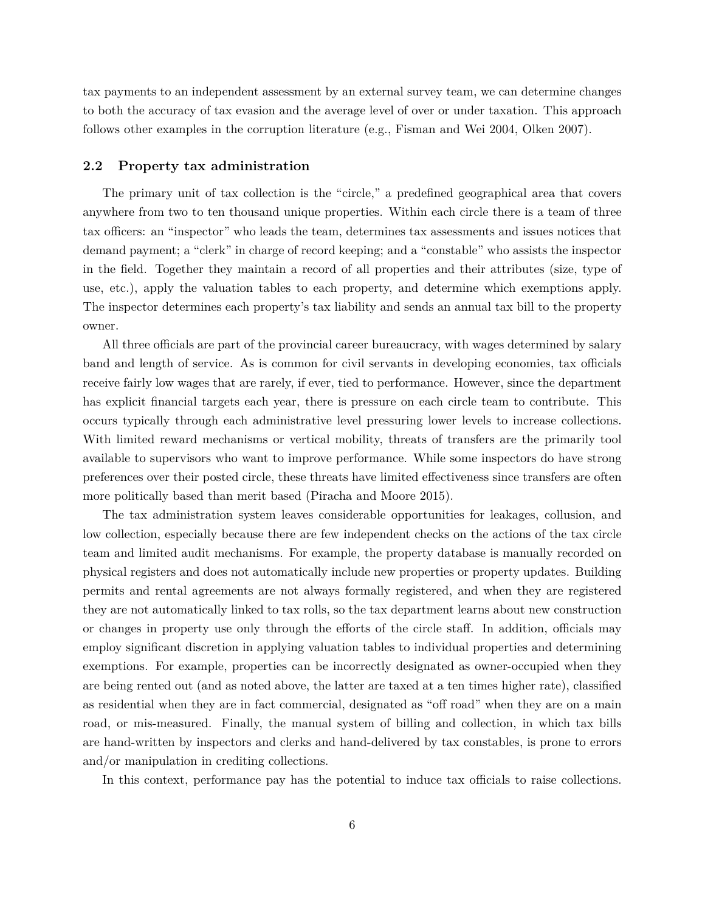tax payments to an independent assessment by an external survey team, we can determine changes to both the accuracy of tax evasion and the average level of over or under taxation. This approach follows other examples in the corruption literature (e.g., Fisman and Wei 2004, Olken 2007).

### **2.2 Property tax administration**

The primary unit of tax collection is the "circle," a predefined geographical area that covers anywhere from two to ten thousand unique properties. Within each circle there is a team of three tax officers: an "inspector" who leads the team, determines tax assessments and issues notices that demand payment; a "clerk" in charge of record keeping; and a "constable" who assists the inspector in the field. Together they maintain a record of all properties and their attributes (size, type of use, etc.), apply the valuation tables to each property, and determine which exemptions apply. The inspector determines each property's tax liability and sends an annual tax bill to the property owner.

All three officials are part of the provincial career bureaucracy, with wages determined by salary band and length of service. As is common for civil servants in developing economies, tax officials receive fairly low wages that are rarely, if ever, tied to performance. However, since the department has explicit financial targets each year, there is pressure on each circle team to contribute. This occurs typically through each administrative level pressuring lower levels to increase collections. With limited reward mechanisms or vertical mobility, threats of transfers are the primarily tool available to supervisors who want to improve performance. While some inspectors do have strong preferences over their posted circle, these threats have limited effectiveness since transfers are often more politically based than merit based (Piracha and Moore 2015).

The tax administration system leaves considerable opportunities for leakages, collusion, and low collection, especially because there are few independent checks on the actions of the tax circle team and limited audit mechanisms. For example, the property database is manually recorded on physical registers and does not automatically include new properties or property updates. Building permits and rental agreements are not always formally registered, and when they are registered they are not automatically linked to tax rolls, so the tax department learns about new construction or changes in property use only through the efforts of the circle staff. In addition, officials may employ significant discretion in applying valuation tables to individual properties and determining exemptions. For example, properties can be incorrectly designated as owner-occupied when they are being rented out (and as noted above, the latter are taxed at a ten times higher rate), classified as residential when they are in fact commercial, designated as "off road" when they are on a main road, or mis-measured. Finally, the manual system of billing and collection, in which tax bills are hand-written by inspectors and clerks and hand-delivered by tax constables, is prone to errors and/or manipulation in crediting collections.

In this context, performance pay has the potential to induce tax officials to raise collections.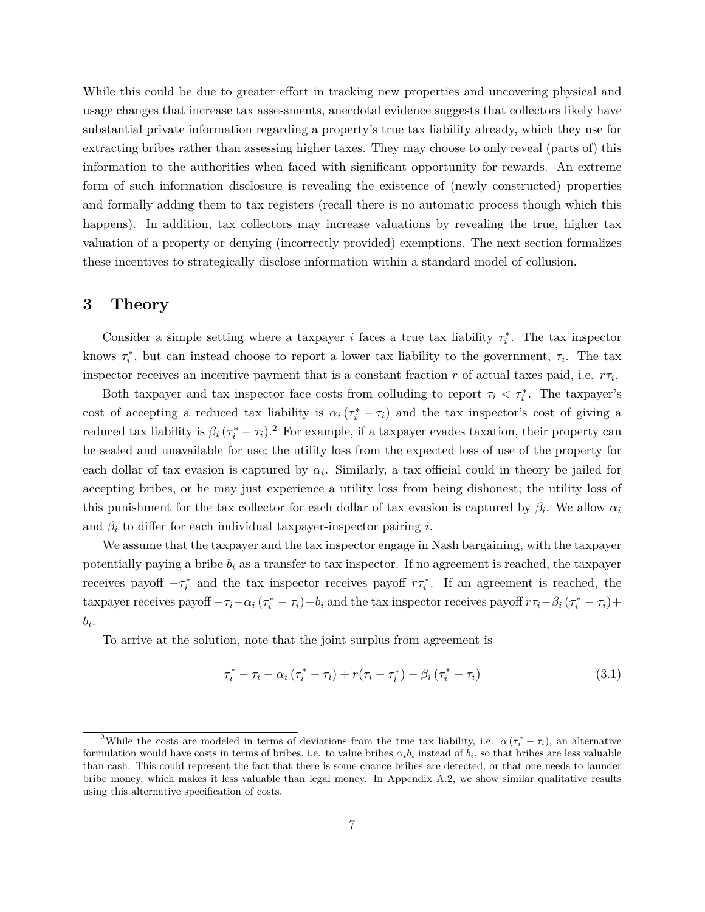While this could be due to greater effort in tracking new properties and uncovering physical and usage changes that increase tax assessments, anecdotal evidence suggests that collectors likely have substantial private information regarding a property's true tax liability already, which they use for extracting bribes rather than assessing higher taxes. They may choose to only reveal (parts of) this information to the authorities when faced with significant opportunity for rewards. An extreme form of such information disclosure is revealing the existence of (newly constructed) properties and formally adding them to tax registers (recall there is no automatic process though which this happens). In addition, tax collectors may increase valuations by revealing the true, higher tax valuation of a property or denying (incorrectly provided) exemptions. The next section formalizes these incentives to strategically disclose information within a standard model of collusion.

# **3 Theory**

Consider a simple setting where a taxpayer *i* faces a true tax liability  $\tau_i^*$ . The tax inspector knows  $\tau_i^*$ , but can instead choose to report a lower tax liability to the government,  $\tau_i$ . The tax inspector receives an incentive payment that is a constant fraction *r* of actual taxes paid, i.e. *rτ<sup>i</sup>* .

Both taxpayer and tax inspector face costs from colluding to report  $\tau_i < \tau_i^*$ . The taxpayer's cost of accepting a reduced tax liability is  $\alpha_i$  ( $\tau_i^* - \tau_i$ ) and the tax inspector's cost of giving a reduced tax liability is  $\beta_i (\tau_i^* - \tau_i)$ .<sup>2</sup> For example, if a taxpayer evades taxation, their property can be sealed and unavailable for use; the utility loss from the expected loss of use of the property for each dollar of tax evasion is captured by  $\alpha_i$ . Similarly, a tax official could in theory be jailed for accepting bribes, or he may just experience a utility loss from being dishonest; the utility loss of this punishment for the tax collector for each dollar of tax evasion is captured by  $\beta_i$ . We allow  $\alpha_i$ and  $\beta_i$  to differ for each individual taxpayer-inspector pairing *i*.

We assume that the taxpayer and the tax inspector engage in Nash bargaining, with the taxpayer potentially paying a bribe  $b_i$  as a transfer to tax inspector. If no agreement is reached, the taxpayer receives payoff  $-\tau_i^*$  and the tax inspector receives payoff  $r\tau_i^*$ . If an agreement is reached, the taxpayer receives payoff  $-\tau_i-\alpha_i(\tau_i^*-\tau_i)-b_i$  and the tax inspector receives payoff  $r\tau_i-\beta_i(\tau_i^*-\tau_i)+\tau_i$ *bi* .

To arrive at the solution, note that the joint surplus from agreement is

$$
\tau_i^* - \tau_i - \alpha_i (\tau_i^* - \tau_i) + r(\tau_i - \tau_i^*) - \beta_i (\tau_i^* - \tau_i)
$$
\n(3.1)

<sup>&</sup>lt;sup>2</sup>While the costs are modeled in terms of deviations from the true tax liability, i.e.  $\alpha(\tau_i^* - \tau_i)$ , an alternative formulation would have costs in terms of bribes, i.e. to value bribes  $\alpha_i b_i$  instead of  $b_i$ , so that bribes are less valuable than cash. This could represent the fact that there is some chance bribes are detected, or that one needs to launder bribe money, which makes it less valuable than legal money. In Appendix A.2, we show similar qualitative results using this alternative specification of costs.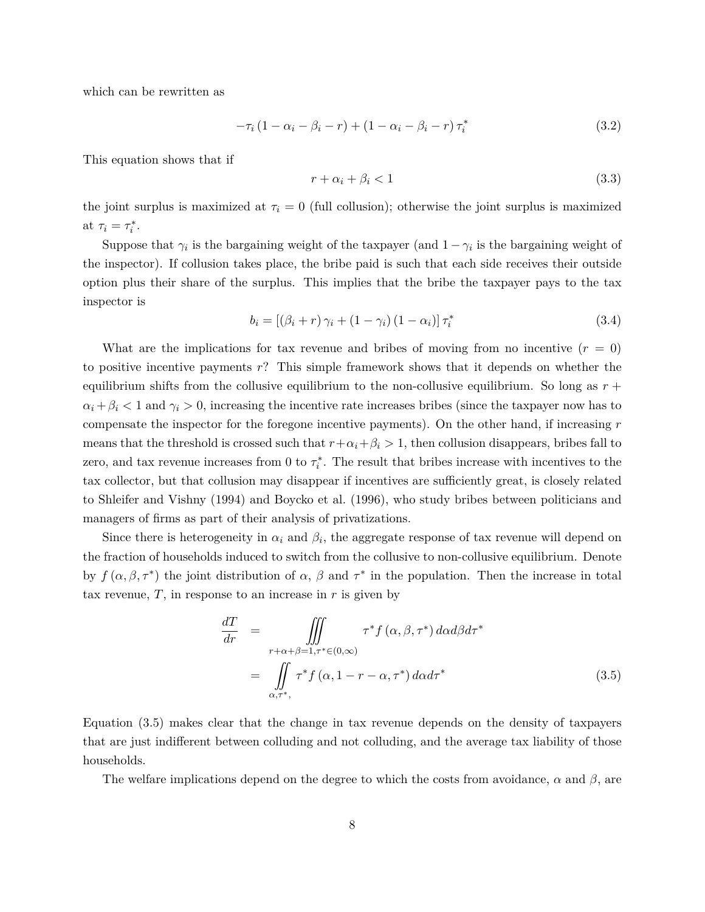which can be rewritten as

$$
-\tau_i\left(1-\alpha_i-\beta_i-r\right) + \left(1-\alpha_i-\beta_i-r\right)\tau_i^*
$$
\n(3.2)

This equation shows that if

$$
r + \alpha_i + \beta_i < 1\tag{3.3}
$$

the joint surplus is maximized at  $\tau_i = 0$  (full collusion); otherwise the joint surplus is maximized at  $\tau_i = \tau_i^*$ .

Suppose that  $\gamma_i$  is the bargaining weight of the taxpayer (and  $1 - \gamma_i$ ) is the bargaining weight of the inspector). If collusion takes place, the bribe paid is such that each side receives their outside option plus their share of the surplus. This implies that the bribe the taxpayer pays to the tax inspector is

$$
b_i = \left[ \left( \beta_i + r \right) \gamma_i + \left( 1 - \gamma_i \right) \left( 1 - \alpha_i \right) \right] \tau_i^* \tag{3.4}
$$

What are the implications for tax revenue and bribes of moving from no incentive  $(r = 0)$ to positive incentive payments *r*? This simple framework shows that it depends on whether the equilibrium shifts from the collusive equilibrium to the non-collusive equilibrium. So long as  $r +$  $\alpha_i + \beta_i < 1$  and  $\gamma_i > 0$ , increasing the incentive rate increases bribes (since the taxpayer now has to compensate the inspector for the foregone incentive payments). On the other hand, if increasing *r* means that the threshold is crossed such that  $r+\alpha_i+\beta_i > 1$ , then collusion disappears, bribes fall to zero, and tax revenue increases from 0 to  $\tau_i^*$ . The result that bribes increase with incentives to the tax collector, but that collusion may disappear if incentives are sufficiently great, is closely related to Shleifer and Vishny (1994) and Boycko et al. (1996), who study bribes between politicians and managers of firms as part of their analysis of privatizations.

Since there is heterogeneity in  $\alpha_i$  and  $\beta_i$ , the aggregate response of tax revenue will depend on the fraction of households induced to switch from the collusive to non-collusive equilibrium. Denote by  $f(\alpha, \beta, \tau^*)$  the joint distribution of  $\alpha$ ,  $\beta$  and  $\tau^*$  in the population. Then the increase in total tax revenue,  $T$ , in response to an increase in  $r$  is given by

$$
\frac{dT}{dr} = \iiint\limits_{r+\alpha+\beta=1,\tau^*\in(0,\infty)} \tau^* f(\alpha,\beta,\tau^*) d\alpha d\beta d\tau^*
$$
\n
$$
= \iint\limits_{\alpha,\tau^*} \tau^* f(\alpha,1-r-\alpha,\tau^*) d\alpha d\tau^*
$$
\n(3.5)

Equation (3.5) makes clear that the change in tax revenue depends on the density of taxpayers that are just indifferent between colluding and not colluding, and the average tax liability of those households.

The welfare implications depend on the degree to which the costs from avoidance,  $\alpha$  and  $\beta$ , are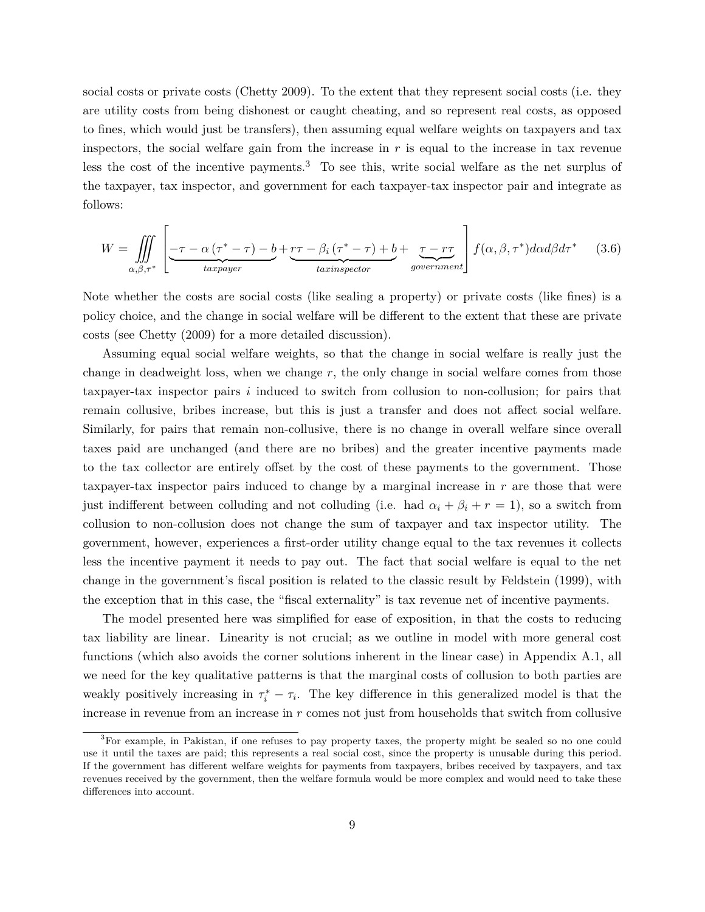social costs or private costs (Chetty 2009). To the extent that they represent social costs (i.e. they are utility costs from being dishonest or caught cheating, and so represent real costs, as opposed to fines, which would just be transfers), then assuming equal welfare weights on taxpayers and tax inspectors, the social welfare gain from the increase in  $r$  is equal to the increase in tax revenue less the cost of the incentive payments.<sup>3</sup> To see this, write social welfare as the net surplus of the taxpayer, tax inspector, and government for each taxpayer-tax inspector pair and integrate as follows:

$$
W = \iiint\limits_{\alpha,\beta,\tau^*} \left[ \underbrace{-\tau - \alpha \left( \tau^* - \tau \right) - b}_{\text{taryayer}} + \underbrace{\tau - \beta_i \left( \tau^* - \tau \right) + b}_{\text{taryayer}} + \underbrace{\tau - r\tau}_{\text{goverment}} \right] f(\alpha, \beta, \tau^*) d\alpha d\beta d\tau^* \tag{3.6}
$$

Note whether the costs are social costs (like sealing a property) or private costs (like fines) is a policy choice, and the change in social welfare will be different to the extent that these are private costs (see Chetty (2009) for a more detailed discussion).

Assuming equal social welfare weights, so that the change in social welfare is really just the change in deadweight loss, when we change *r*, the only change in social welfare comes from those taxpayer-tax inspector pairs *i* induced to switch from collusion to non-collusion; for pairs that remain collusive, bribes increase, but this is just a transfer and does not affect social welfare. Similarly, for pairs that remain non-collusive, there is no change in overall welfare since overall taxes paid are unchanged (and there are no bribes) and the greater incentive payments made to the tax collector are entirely offset by the cost of these payments to the government. Those taxpayer-tax inspector pairs induced to change by a marginal increase in *r* are those that were just indifferent between colluding and not colluding (i.e. had  $\alpha_i + \beta_i + r = 1$ ), so a switch from collusion to non-collusion does not change the sum of taxpayer and tax inspector utility. The government, however, experiences a first-order utility change equal to the tax revenues it collects less the incentive payment it needs to pay out. The fact that social welfare is equal to the net change in the government's fiscal position is related to the classic result by Feldstein (1999), with the exception that in this case, the "fiscal externality" is tax revenue net of incentive payments.

The model presented here was simplified for ease of exposition, in that the costs to reducing tax liability are linear. Linearity is not crucial; as we outline in model with more general cost functions (which also avoids the corner solutions inherent in the linear case) in Appendix A.1, all we need for the key qualitative patterns is that the marginal costs of collusion to both parties are weakly positively increasing in  $\tau_i^* - \tau_i$ . The key difference in this generalized model is that the increase in revenue from an increase in *r* comes not just from households that switch from collusive

<sup>&</sup>lt;sup>3</sup>For example, in Pakistan, if one refuses to pay property taxes, the property might be sealed so no one could use it until the taxes are paid; this represents a real social cost, since the property is unusable during this period. If the government has different welfare weights for payments from taxpayers, bribes received by taxpayers, and tax revenues received by the government, then the welfare formula would be more complex and would need to take these differences into account.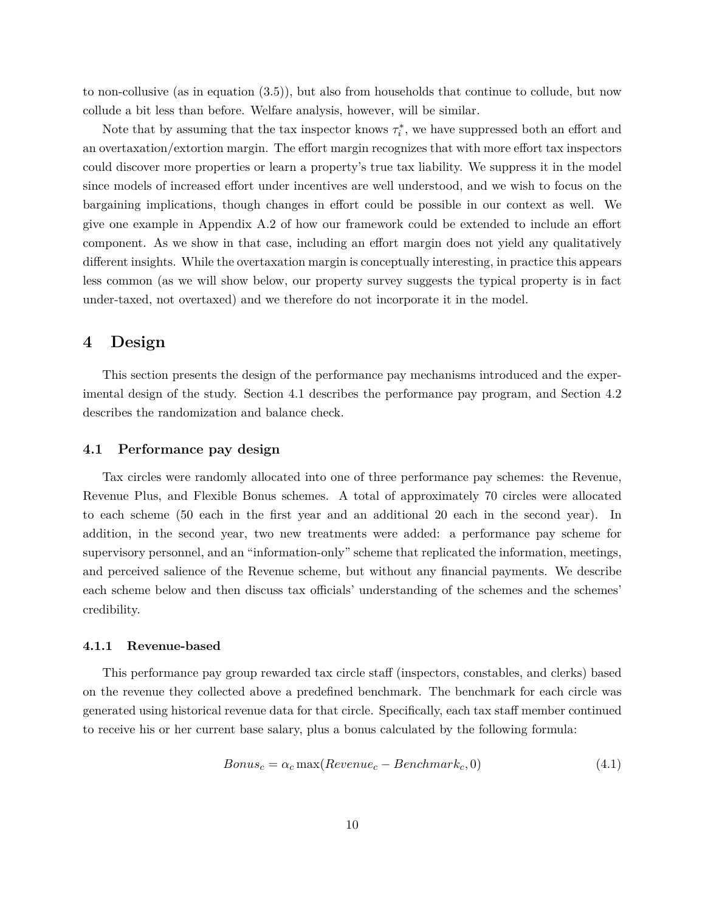to non-collusive (as in equation (3.5)), but also from households that continue to collude, but now collude a bit less than before. Welfare analysis, however, will be similar.

Note that by assuming that the tax inspector knows  $\tau_i^*$ , we have suppressed both an effort and an overtaxation/extortion margin. The effort margin recognizes that with more effort tax inspectors could discover more properties or learn a property's true tax liability. We suppress it in the model since models of increased effort under incentives are well understood, and we wish to focus on the bargaining implications, though changes in effort could be possible in our context as well. We give one example in Appendix A.2 of how our framework could be extended to include an effort component. As we show in that case, including an effort margin does not yield any qualitatively different insights. While the overtaxation margin is conceptually interesting, in practice this appears less common (as we will show below, our property survey suggests the typical property is in fact under-taxed, not overtaxed) and we therefore do not incorporate it in the model.

### **4 Design**

This section presents the design of the performance pay mechanisms introduced and the experimental design of the study. Section 4.1 describes the performance pay program, and Section 4.2 describes the randomization and balance check.

#### **4.1 Performance pay design**

Tax circles were randomly allocated into one of three performance pay schemes: the Revenue, Revenue Plus, and Flexible Bonus schemes. A total of approximately 70 circles were allocated to each scheme (50 each in the first year and an additional 20 each in the second year). In addition, in the second year, two new treatments were added: a performance pay scheme for supervisory personnel, and an "information-only" scheme that replicated the information, meetings, and perceived salience of the Revenue scheme, but without any financial payments. We describe each scheme below and then discuss tax officials' understanding of the schemes and the schemes' credibility.

#### **4.1.1 Revenue-based**

This performance pay group rewarded tax circle staff (inspectors, constables, and clerks) based on the revenue they collected above a predefined benchmark. The benchmark for each circle was generated using historical revenue data for that circle. Specifically, each tax staff member continued to receive his or her current base salary, plus a bonus calculated by the following formula:

$$
Bonus_c = \alpha_c \max(Revenue_c - Benchmark_c, 0)
$$
\n(4.1)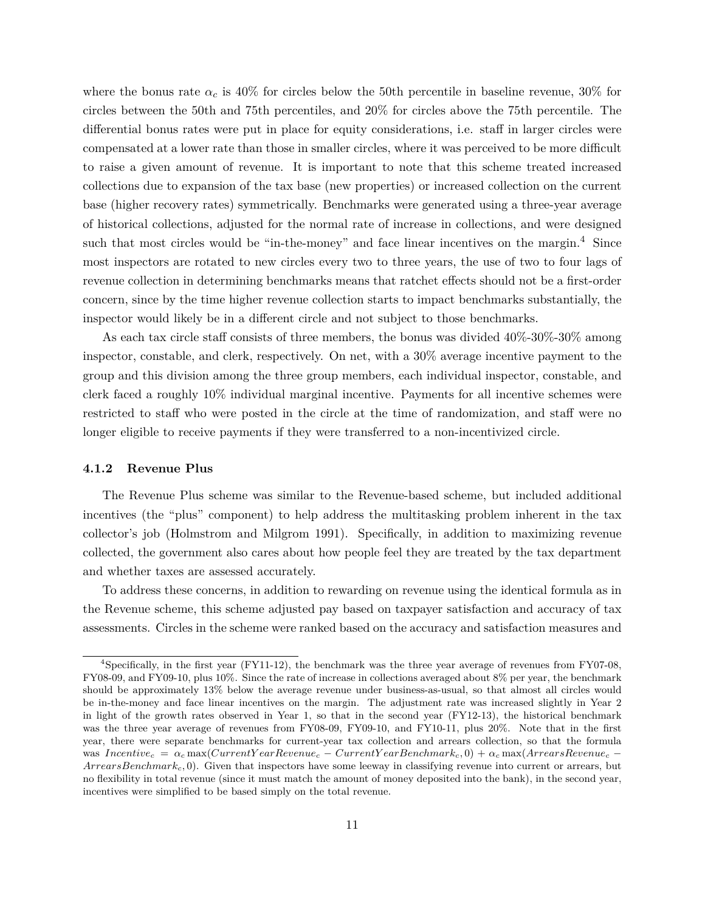where the bonus rate  $\alpha_c$  is 40% for circles below the 50th percentile in baseline revenue, 30% for circles between the 50th and 75th percentiles, and 20% for circles above the 75th percentile. The differential bonus rates were put in place for equity considerations, i.e. staff in larger circles were compensated at a lower rate than those in smaller circles, where it was perceived to be more difficult to raise a given amount of revenue. It is important to note that this scheme treated increased collections due to expansion of the tax base (new properties) or increased collection on the current base (higher recovery rates) symmetrically. Benchmarks were generated using a three-year average of historical collections, adjusted for the normal rate of increase in collections, and were designed such that most circles would be "in-the-money" and face linear incentives on the margin. $4$  Since most inspectors are rotated to new circles every two to three years, the use of two to four lags of revenue collection in determining benchmarks means that ratchet effects should not be a first-order concern, since by the time higher revenue collection starts to impact benchmarks substantially, the inspector would likely be in a different circle and not subject to those benchmarks.

As each tax circle staff consists of three members, the bonus was divided 40%-30%-30% among inspector, constable, and clerk, respectively. On net, with a 30% average incentive payment to the group and this division among the three group members, each individual inspector, constable, and clerk faced a roughly 10% individual marginal incentive. Payments for all incentive schemes were restricted to staff who were posted in the circle at the time of randomization, and staff were no longer eligible to receive payments if they were transferred to a non-incentivized circle.

#### **4.1.2 Revenue Plus**

The Revenue Plus scheme was similar to the Revenue-based scheme, but included additional incentives (the "plus" component) to help address the multitasking problem inherent in the tax collector's job (Holmstrom and Milgrom 1991). Specifically, in addition to maximizing revenue collected, the government also cares about how people feel they are treated by the tax department and whether taxes are assessed accurately.

To address these concerns, in addition to rewarding on revenue using the identical formula as in the Revenue scheme, this scheme adjusted pay based on taxpayer satisfaction and accuracy of tax assessments. Circles in the scheme were ranked based on the accuracy and satisfaction measures and

<sup>4</sup>Specifically, in the first year (FY11-12), the benchmark was the three year average of revenues from FY07-08, FY08-09, and FY09-10, plus 10%. Since the rate of increase in collections averaged about 8% per year, the benchmark should be approximately 13% below the average revenue under business-as-usual, so that almost all circles would be in-the-money and face linear incentives on the margin. The adjustment rate was increased slightly in Year 2 in light of the growth rates observed in Year 1, so that in the second year (FY12-13), the historical benchmark was the three year average of revenues from FY08-09, FY09-10, and FY10-11, plus 20%. Note that in the first year, there were separate benchmarks for current-year tax collection and arrears collection, so that the formula was *Incentive<sup>c</sup>* = *α<sup>c</sup>* max(*CurrentY earRevenue<sup>c</sup>* − *CurrentY earBenchmarkc,* 0) + *α<sup>c</sup>* max(*ArrearsRevenue<sup>c</sup>* − *ArrearsBenchmarkc,* 0). Given that inspectors have some leeway in classifying revenue into current or arrears, but no flexibility in total revenue (since it must match the amount of money deposited into the bank), in the second year, incentives were simplified to be based simply on the total revenue.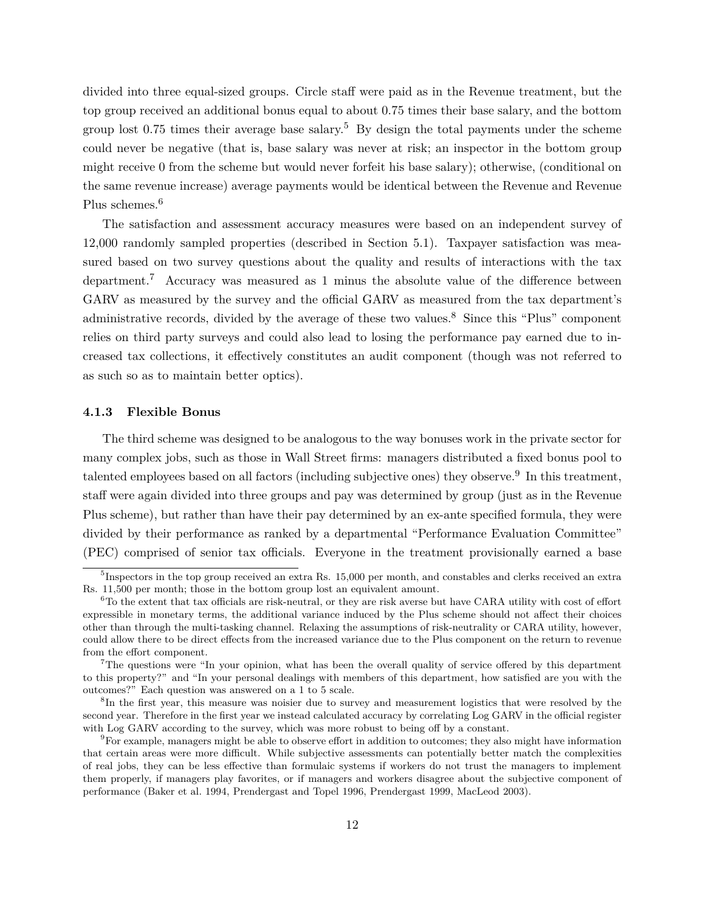divided into three equal-sized groups. Circle staff were paid as in the Revenue treatment, but the top group received an additional bonus equal to about 0.75 times their base salary, and the bottom group lost 0.75 times their average base salary.<sup>5</sup> By design the total payments under the scheme could never be negative (that is, base salary was never at risk; an inspector in the bottom group might receive 0 from the scheme but would never forfeit his base salary); otherwise, (conditional on the same revenue increase) average payments would be identical between the Revenue and Revenue Plus schemes.<sup>6</sup>

The satisfaction and assessment accuracy measures were based on an independent survey of 12,000 randomly sampled properties (described in Section 5.1). Taxpayer satisfaction was measured based on two survey questions about the quality and results of interactions with the tax department.<sup>7</sup> Accuracy was measured as 1 minus the absolute value of the difference between GARV as measured by the survey and the official GARV as measured from the tax department's administrative records, divided by the average of these two values.<sup>8</sup> Since this "Plus" component relies on third party surveys and could also lead to losing the performance pay earned due to increased tax collections, it effectively constitutes an audit component (though was not referred to as such so as to maintain better optics).

#### **4.1.3 Flexible Bonus**

The third scheme was designed to be analogous to the way bonuses work in the private sector for many complex jobs, such as those in Wall Street firms: managers distributed a fixed bonus pool to talented employees based on all factors (including subjective ones) they observe.<sup>9</sup> In this treatment, staff were again divided into three groups and pay was determined by group (just as in the Revenue Plus scheme), but rather than have their pay determined by an ex-ante specified formula, they were divided by their performance as ranked by a departmental "Performance Evaluation Committee" (PEC) comprised of senior tax officials. Everyone in the treatment provisionally earned a base

<sup>&</sup>lt;sup>5</sup>Inspectors in the top group received an extra Rs. 15,000 per month, and constables and clerks received an extra Rs. 11,500 per month; those in the bottom group lost an equivalent amount.

<sup>6</sup>To the extent that tax officials are risk-neutral, or they are risk averse but have CARA utility with cost of effort expressible in monetary terms, the additional variance induced by the Plus scheme should not affect their choices other than through the multi-tasking channel. Relaxing the assumptions of risk-neutrality or CARA utility, however, could allow there to be direct effects from the increased variance due to the Plus component on the return to revenue from the effort component.

<sup>7</sup>The questions were "In your opinion, what has been the overall quality of service offered by this department to this property?" and "In your personal dealings with members of this department, how satisfied are you with the outcomes?" Each question was answered on a 1 to 5 scale.

<sup>8</sup> In the first year, this measure was noisier due to survey and measurement logistics that were resolved by the second year. Therefore in the first year we instead calculated accuracy by correlating Log GARV in the official register with Log GARV according to the survey, which was more robust to being off by a constant.

 $9^9$ For example, managers might be able to observe effort in addition to outcomes; they also might have information that certain areas were more difficult. While subjective assessments can potentially better match the complexities of real jobs, they can be less effective than formulaic systems if workers do not trust the managers to implement them properly, if managers play favorites, or if managers and workers disagree about the subjective component of performance (Baker et al. 1994, Prendergast and Topel 1996, Prendergast 1999, MacLeod 2003).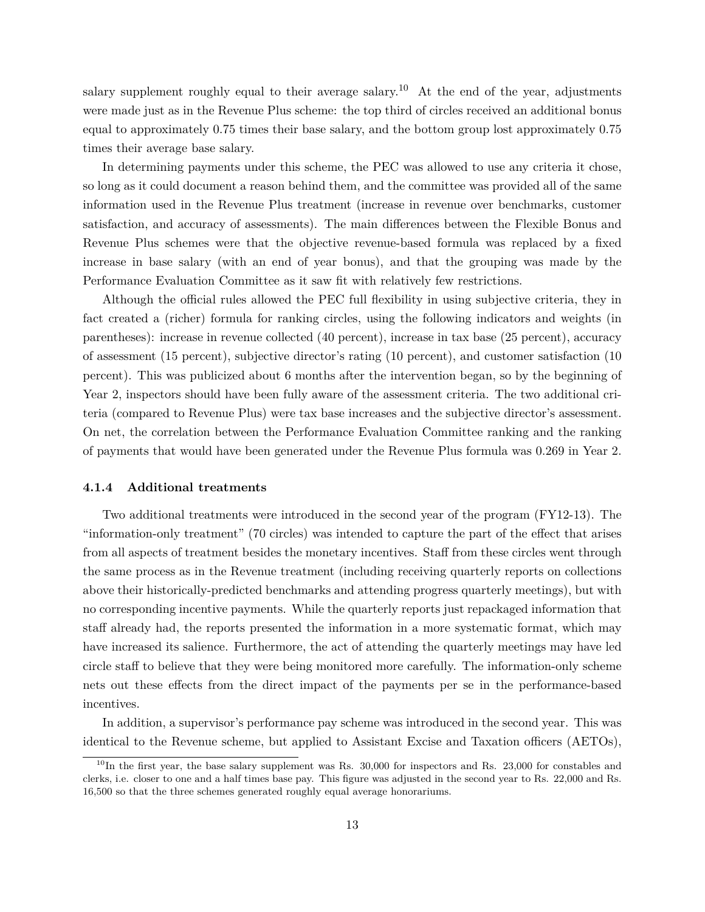salary supplement roughly equal to their average salary.<sup>10</sup> At the end of the year, adjustments were made just as in the Revenue Plus scheme: the top third of circles received an additional bonus equal to approximately 0.75 times their base salary, and the bottom group lost approximately 0.75 times their average base salary.

In determining payments under this scheme, the PEC was allowed to use any criteria it chose, so long as it could document a reason behind them, and the committee was provided all of the same information used in the Revenue Plus treatment (increase in revenue over benchmarks, customer satisfaction, and accuracy of assessments). The main differences between the Flexible Bonus and Revenue Plus schemes were that the objective revenue-based formula was replaced by a fixed increase in base salary (with an end of year bonus), and that the grouping was made by the Performance Evaluation Committee as it saw fit with relatively few restrictions.

Although the official rules allowed the PEC full flexibility in using subjective criteria, they in fact created a (richer) formula for ranking circles, using the following indicators and weights (in parentheses): increase in revenue collected (40 percent), increase in tax base (25 percent), accuracy of assessment (15 percent), subjective director's rating (10 percent), and customer satisfaction (10 percent). This was publicized about 6 months after the intervention began, so by the beginning of Year 2, inspectors should have been fully aware of the assessment criteria. The two additional criteria (compared to Revenue Plus) were tax base increases and the subjective director's assessment. On net, the correlation between the Performance Evaluation Committee ranking and the ranking of payments that would have been generated under the Revenue Plus formula was 0.269 in Year 2.

#### **4.1.4 Additional treatments**

Two additional treatments were introduced in the second year of the program (FY12-13). The "information-only treatment" (70 circles) was intended to capture the part of the effect that arises from all aspects of treatment besides the monetary incentives. Staff from these circles went through the same process as in the Revenue treatment (including receiving quarterly reports on collections above their historically-predicted benchmarks and attending progress quarterly meetings), but with no corresponding incentive payments. While the quarterly reports just repackaged information that staff already had, the reports presented the information in a more systematic format, which may have increased its salience. Furthermore, the act of attending the quarterly meetings may have led circle staff to believe that they were being monitored more carefully. The information-only scheme nets out these effects from the direct impact of the payments per se in the performance-based incentives.

In addition, a supervisor's performance pay scheme was introduced in the second year. This was identical to the Revenue scheme, but applied to Assistant Excise and Taxation officers (AETOs),

 $10$ In the first year, the base salary supplement was Rs. 30,000 for inspectors and Rs. 23,000 for constables and clerks, i.e. closer to one and a half times base pay. This figure was adjusted in the second year to Rs. 22,000 and Rs. 16,500 so that the three schemes generated roughly equal average honorariums.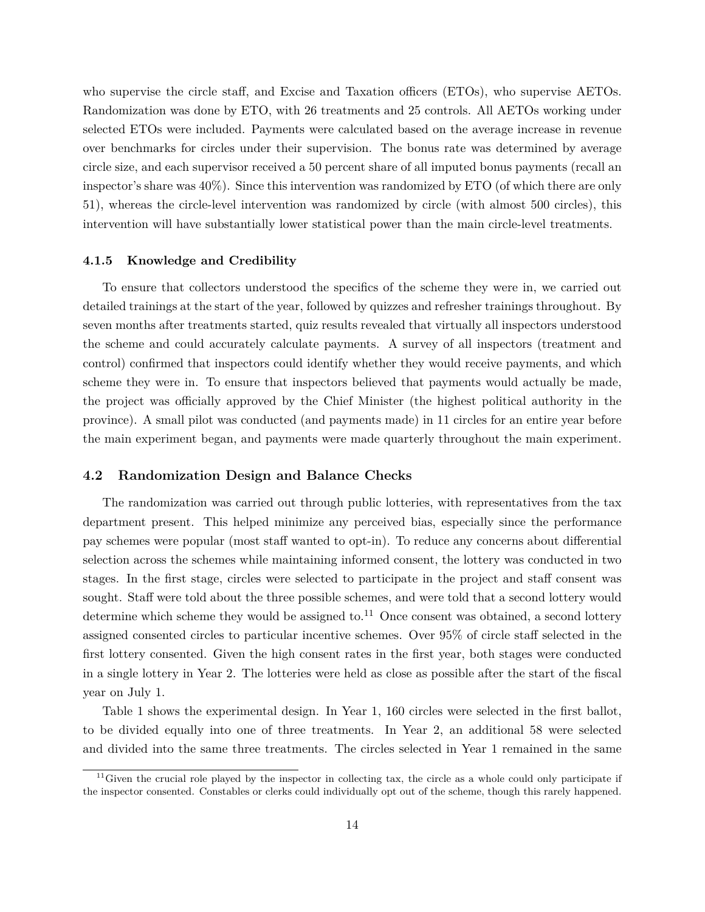who supervise the circle staff, and Excise and Taxation officers (ETOs), who supervise AETOs. Randomization was done by ETO, with 26 treatments and 25 controls. All AETOs working under selected ETOs were included. Payments were calculated based on the average increase in revenue over benchmarks for circles under their supervision. The bonus rate was determined by average circle size, and each supervisor received a 50 percent share of all imputed bonus payments (recall an inspector's share was 40%). Since this intervention was randomized by ETO (of which there are only 51), whereas the circle-level intervention was randomized by circle (with almost 500 circles), this intervention will have substantially lower statistical power than the main circle-level treatments.

#### **4.1.5 Knowledge and Credibility**

To ensure that collectors understood the specifics of the scheme they were in, we carried out detailed trainings at the start of the year, followed by quizzes and refresher trainings throughout. By seven months after treatments started, quiz results revealed that virtually all inspectors understood the scheme and could accurately calculate payments. A survey of all inspectors (treatment and control) confirmed that inspectors could identify whether they would receive payments, and which scheme they were in. To ensure that inspectors believed that payments would actually be made, the project was officially approved by the Chief Minister (the highest political authority in the province). A small pilot was conducted (and payments made) in 11 circles for an entire year before the main experiment began, and payments were made quarterly throughout the main experiment.

#### **4.2 Randomization Design and Balance Checks**

The randomization was carried out through public lotteries, with representatives from the tax department present. This helped minimize any perceived bias, especially since the performance pay schemes were popular (most staff wanted to opt-in). To reduce any concerns about differential selection across the schemes while maintaining informed consent, the lottery was conducted in two stages. In the first stage, circles were selected to participate in the project and staff consent was sought. Staff were told about the three possible schemes, and were told that a second lottery would determine which scheme they would be assigned to.<sup>11</sup> Once consent was obtained, a second lottery assigned consented circles to particular incentive schemes. Over 95% of circle staff selected in the first lottery consented. Given the high consent rates in the first year, both stages were conducted in a single lottery in Year 2. The lotteries were held as close as possible after the start of the fiscal year on July 1.

Table 1 shows the experimental design. In Year 1, 160 circles were selected in the first ballot, to be divided equally into one of three treatments. In Year 2, an additional 58 were selected and divided into the same three treatments. The circles selected in Year 1 remained in the same

 $11$  Given the crucial role played by the inspector in collecting tax, the circle as a whole could only participate if the inspector consented. Constables or clerks could individually opt out of the scheme, though this rarely happened.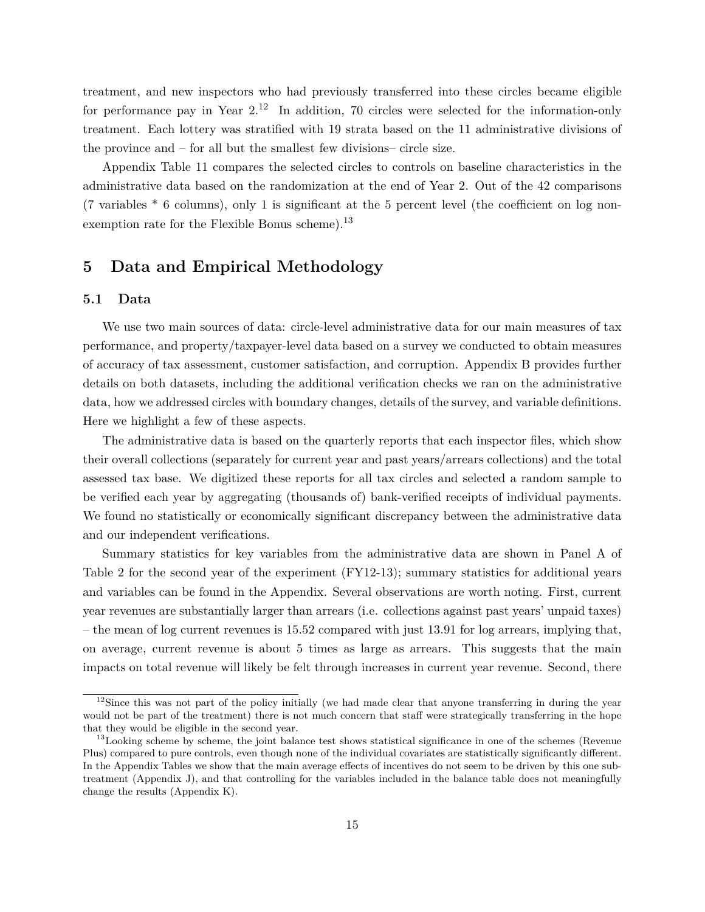treatment, and new inspectors who had previously transferred into these circles became eligible for performance pay in Year  $2^{12}$  In addition, 70 circles were selected for the information-only treatment. Each lottery was stratified with 19 strata based on the 11 administrative divisions of the province and – for all but the smallest few divisions– circle size.

Appendix Table 11 compares the selected circles to controls on baseline characteristics in the administrative data based on the randomization at the end of Year 2. Out of the 42 comparisons (7 variables \* 6 columns), only 1 is significant at the 5 percent level (the coefficient on log nonexemption rate for the Flexible Bonus scheme).<sup>13</sup>

# **5 Data and Empirical Methodology**

#### **5.1 Data**

We use two main sources of data: circle-level administrative data for our main measures of tax performance, and property/taxpayer-level data based on a survey we conducted to obtain measures of accuracy of tax assessment, customer satisfaction, and corruption. Appendix B provides further details on both datasets, including the additional verification checks we ran on the administrative data, how we addressed circles with boundary changes, details of the survey, and variable definitions. Here we highlight a few of these aspects.

The administrative data is based on the quarterly reports that each inspector files, which show their overall collections (separately for current year and past years/arrears collections) and the total assessed tax base. We digitized these reports for all tax circles and selected a random sample to be verified each year by aggregating (thousands of) bank-verified receipts of individual payments. We found no statistically or economically significant discrepancy between the administrative data and our independent verifications.

Summary statistics for key variables from the administrative data are shown in Panel A of Table 2 for the second year of the experiment (FY12-13); summary statistics for additional years and variables can be found in the Appendix. Several observations are worth noting. First, current year revenues are substantially larger than arrears (i.e. collections against past years' unpaid taxes) – the mean of log current revenues is 15.52 compared with just 13.91 for log arrears, implying that, on average, current revenue is about 5 times as large as arrears. This suggests that the main impacts on total revenue will likely be felt through increases in current year revenue. Second, there

 $12$ Since this was not part of the policy initially (we had made clear that anyone transferring in during the year would not be part of the treatment) there is not much concern that staff were strategically transferring in the hope that they would be eligible in the second year.

<sup>&</sup>lt;sup>13</sup>Looking scheme by scheme, the joint balance test shows statistical significance in one of the schemes (Revenue Plus) compared to pure controls, even though none of the individual covariates are statistically significantly different. In the Appendix Tables we show that the main average effects of incentives do not seem to be driven by this one subtreatment (Appendix J), and that controlling for the variables included in the balance table does not meaningfully change the results (Appendix K).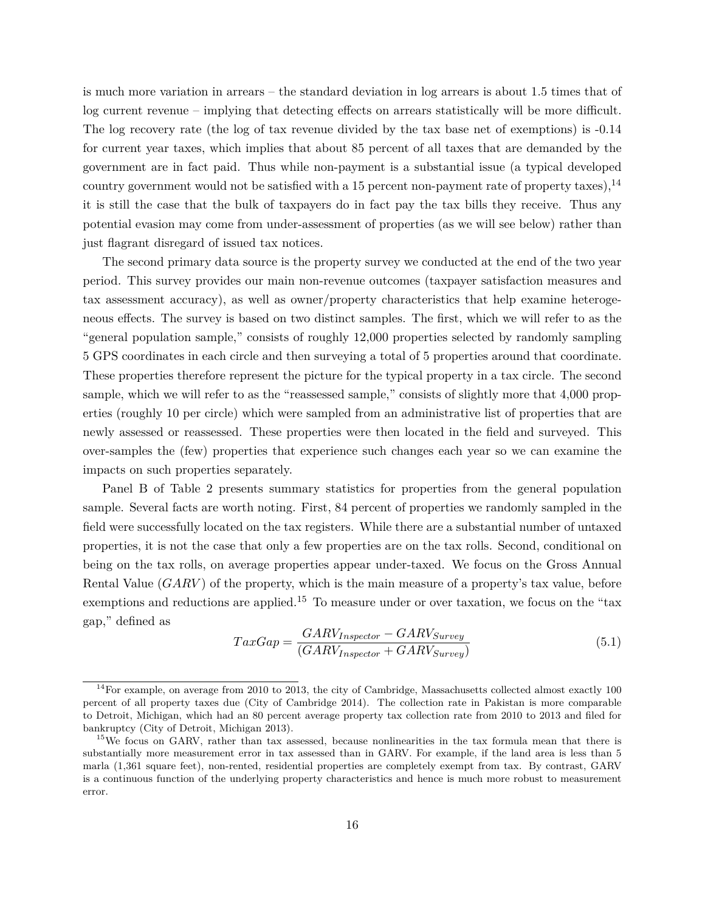is much more variation in arrears – the standard deviation in log arrears is about 1.5 times that of log current revenue – implying that detecting effects on arrears statistically will be more difficult. The log recovery rate (the log of tax revenue divided by the tax base net of exemptions) is -0.14 for current year taxes, which implies that about 85 percent of all taxes that are demanded by the government are in fact paid. Thus while non-payment is a substantial issue (a typical developed country government would not be satisfied with a 15 percent non-payment rate of property taxes),  $^{14}$ it is still the case that the bulk of taxpayers do in fact pay the tax bills they receive. Thus any potential evasion may come from under-assessment of properties (as we will see below) rather than just flagrant disregard of issued tax notices.

The second primary data source is the property survey we conducted at the end of the two year period. This survey provides our main non-revenue outcomes (taxpayer satisfaction measures and tax assessment accuracy), as well as owner/property characteristics that help examine heterogeneous effects. The survey is based on two distinct samples. The first, which we will refer to as the "general population sample," consists of roughly 12,000 properties selected by randomly sampling 5 GPS coordinates in each circle and then surveying a total of 5 properties around that coordinate. These properties therefore represent the picture for the typical property in a tax circle. The second sample, which we will refer to as the "reassessed sample," consists of slightly more that 4,000 properties (roughly 10 per circle) which were sampled from an administrative list of properties that are newly assessed or reassessed. These properties were then located in the field and surveyed. This over-samples the (few) properties that experience such changes each year so we can examine the impacts on such properties separately.

Panel B of Table 2 presents summary statistics for properties from the general population sample. Several facts are worth noting. First, 84 percent of properties we randomly sampled in the field were successfully located on the tax registers. While there are a substantial number of untaxed properties, it is not the case that only a few properties are on the tax rolls. Second, conditional on being on the tax rolls, on average properties appear under-taxed. We focus on the Gross Annual Rental Value (*GARV* ) of the property, which is the main measure of a property's tax value, before exemptions and reductions are applied.<sup>15</sup> To measure under or over taxation, we focus on the "tax gap," defined as

$$
TaxGap = \frac{GARV_{Inspector} - GARV_{Survey}}{(GARV_{Inspector} + GARV_{Survey})}
$$
\n
$$
(5.1)
$$

 $14$  For example, on average from 2010 to 2013, the city of Cambridge, Massachusetts collected almost exactly 100 percent of all property taxes due (City of Cambridge 2014). The collection rate in Pakistan is more comparable to Detroit, Michigan, which had an 80 percent average property tax collection rate from 2010 to 2013 and filed for bankruptcy (City of Detroit, Michigan 2013).

<sup>&</sup>lt;sup>15</sup>We focus on GARV, rather than tax assessed, because nonlinearities in the tax formula mean that there is substantially more measurement error in tax assessed than in GARV. For example, if the land area is less than 5 marla (1,361 square feet), non-rented, residential properties are completely exempt from tax. By contrast, GARV is a continuous function of the underlying property characteristics and hence is much more robust to measurement error.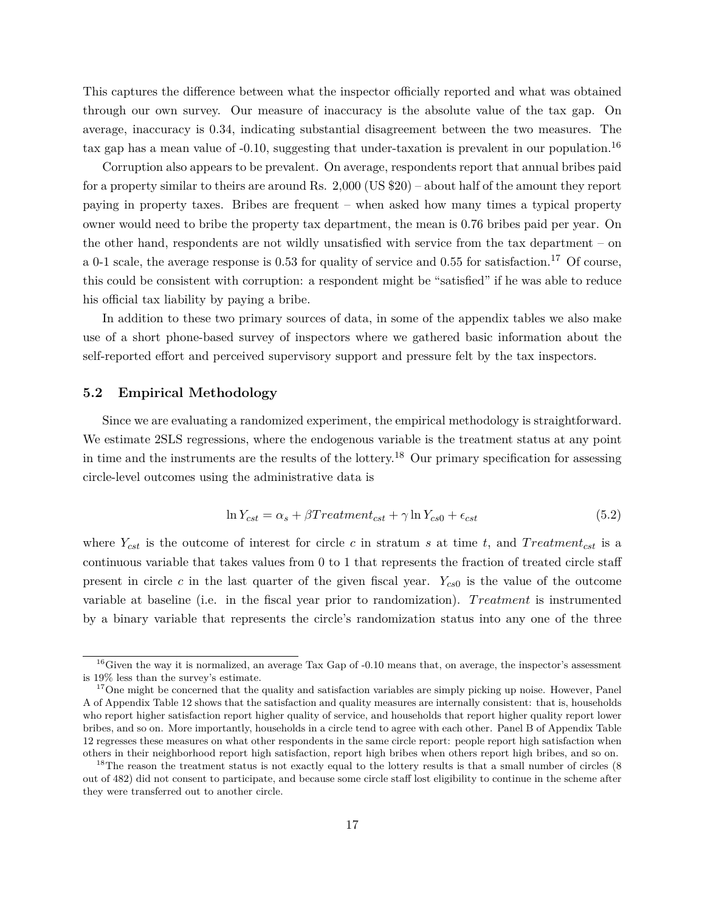This captures the difference between what the inspector officially reported and what was obtained through our own survey. Our measure of inaccuracy is the absolute value of the tax gap. On average, inaccuracy is 0.34, indicating substantial disagreement between the two measures. The tax gap has a mean value of  $-0.10$ , suggesting that under-taxation is prevalent in our population.<sup>16</sup>

Corruption also appears to be prevalent. On average, respondents report that annual bribes paid for a property similar to theirs are around Rs. 2,000 (US \$20) – about half of the amount they report paying in property taxes. Bribes are frequent – when asked how many times a typical property owner would need to bribe the property tax department, the mean is 0.76 bribes paid per year. On the other hand, respondents are not wildly unsatisfied with service from the tax department – on a 0-1 scale, the average response is 0.53 for quality of service and 0.55 for satisfaction.<sup>17</sup> Of course, this could be consistent with corruption: a respondent might be "satisfied" if he was able to reduce his official tax liability by paying a bribe.

In addition to these two primary sources of data, in some of the appendix tables we also make use of a short phone-based survey of inspectors where we gathered basic information about the self-reported effort and perceived supervisory support and pressure felt by the tax inspectors.

#### **5.2 Empirical Methodology**

Since we are evaluating a randomized experiment, the empirical methodology is straightforward. We estimate 2SLS regressions, where the endogenous variable is the treatment status at any point in time and the instruments are the results of the lottery.<sup>18</sup> Our primary specification for assessing circle-level outcomes using the administrative data is

$$
\ln Y_{cst} = \alpha_s + \beta Treatment_{cst} + \gamma \ln Y_{cs0} + \epsilon_{cst} \tag{5.2}
$$

where  $Y_{cst}$  is the outcome of interest for circle *c* in stratum *s* at time *t*, and *Treatment<sub>cst</sub>* is a continuous variable that takes values from 0 to 1 that represents the fraction of treated circle staff present in circle *c* in the last quarter of the given fiscal year. *Ycs*<sup>0</sup> is the value of the outcome variable at baseline (i.e. in the fiscal year prior to randomization). *T reatment* is instrumented by a binary variable that represents the circle's randomization status into any one of the three

 $^{16}$ Given the way it is normalized, an average Tax Gap of -0.10 means that, on average, the inspector's assessment is 19% less than the survey's estimate.

 $17$ One might be concerned that the quality and satisfaction variables are simply picking up noise. However, Panel A of Appendix Table 12 shows that the satisfaction and quality measures are internally consistent: that is, households who report higher satisfaction report higher quality of service, and households that report higher quality report lower bribes, and so on. More importantly, households in a circle tend to agree with each other. Panel B of Appendix Table 12 regresses these measures on what other respondents in the same circle report: people report high satisfaction when others in their neighborhood report high satisfaction, report high bribes when others report high bribes, and so on.

<sup>&</sup>lt;sup>18</sup>The reason the treatment status is not exactly equal to the lottery results is that a small number of circles (8 out of 482) did not consent to participate, and because some circle staff lost eligibility to continue in the scheme after they were transferred out to another circle.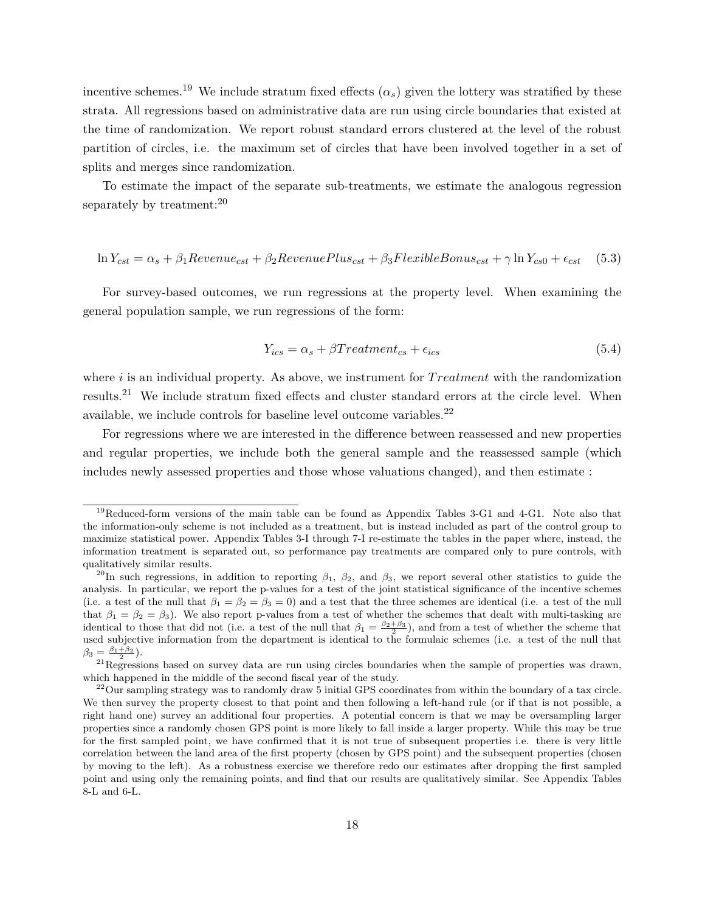incentive schemes.<sup>19</sup> We include stratum fixed effects  $(\alpha_s)$  given the lottery was stratified by these strata. All regressions based on administrative data are run using circle boundaries that existed at the time of randomization. We report robust standard errors clustered at the level of the robust partition of circles, i.e. the maximum set of circles that have been involved together in a set of splits and merges since randomization.

To estimate the impact of the separate sub-treatments, we estimate the analogous regression separately by treatment:<sup>20</sup>

$$
\ln Y_{cst} = \alpha_s + \beta_1 Revenue_{cst} + \beta_2 RevenuePlus_{cst} + \beta_3 FlexibleBonus_{cst} + \gamma \ln Y_{cso} + \epsilon_{cst} \quad (5.3)
$$

For survey-based outcomes, we run regressions at the property level. When examining the general population sample, we run regressions of the form:

$$
Y_{ics} = \alpha_s + \beta Treatment_{cs} + \epsilon_{ics} \tag{5.4}
$$

where *i* is an individual property. As above, we instrument for *T reatment* with the randomization results.<sup>21</sup> We include stratum fixed effects and cluster standard errors at the circle level. When available, we include controls for baseline level outcome variables.<sup>22</sup>

For regressions where we are interested in the difference between reassessed and new properties and regular properties, we include both the general sample and the reassessed sample (which includes newly assessed properties and those whose valuations changed), and then estimate :

<sup>19</sup>Reduced-form versions of the main table can be found as Appendix Tables 3-G1 and 4-G1. Note also that the information-only scheme is not included as a treatment, but is instead included as part of the control group to maximize statistical power. Appendix Tables 3-I through 7-I re-estimate the tables in the paper where, instead, the information treatment is separated out, so performance pay treatments are compared only to pure controls, with qualitatively similar results.

<sup>&</sup>lt;sup>20</sup>In such regressions, in addition to reporting  $\beta_1$ ,  $\beta_2$ , and  $\beta_3$ , we report several other statistics to guide the analysis. In particular, we report the p-values for a test of the joint statistical significance of the incentive schemes (i.e. a test of the null that  $\beta_1 = \beta_2 = \beta_3 = 0$ ) and a test that the three schemes are identical (i.e. a test of the null that  $\beta_1 = \beta_2 = \beta_3$ ). We also report p-values from a test of whether the schemes that dealt with multi-tasking are identical to those that did not (i.e. a test of the null that  $\beta_1 = \frac{\beta_2 + \beta_3}{2}$ ), and from a test of whether the scheme that used subjective information from the department is identical to the formulaic schemes (i.e. a test of the null that  $\beta_3 = \frac{\beta_1 + \beta_2}{2}$ .

 $21$ Regressions based on survey data are run using circles boundaries when the sample of properties was drawn, which happened in the middle of the second fiscal year of the study.

 $^{22}$ Our sampling strategy was to randomly draw 5 initial GPS coordinates from within the boundary of a tax circle. We then survey the property closest to that point and then following a left-hand rule (or if that is not possible, a right hand one) survey an additional four properties. A potential concern is that we may be oversampling larger properties since a randomly chosen GPS point is more likely to fall inside a larger property. While this may be true for the first sampled point, we have confirmed that it is not true of subsequent properties i.e. there is very little correlation between the land area of the first property (chosen by GPS point) and the subsequent properties (chosen by moving to the left). As a robustness exercise we therefore redo our estimates after dropping the first sampled point and using only the remaining points, and find that our results are qualitatively similar. See Appendix Tables 8-L and 6-L.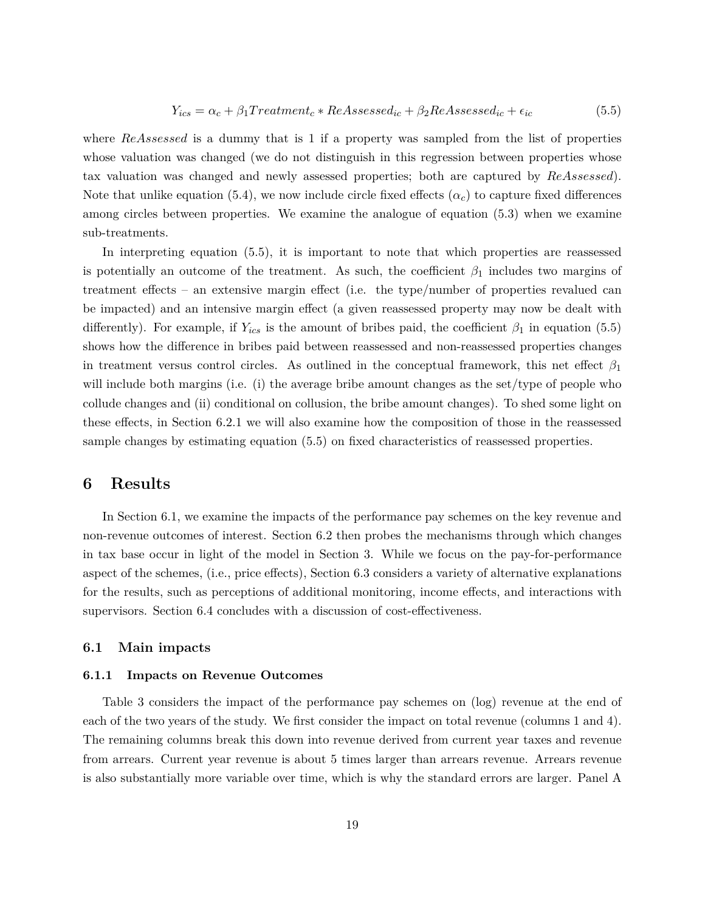$$
Y_{ics} = \alpha_c + \beta_1 Treatment_c * ReAssessed_{ic} + \beta_2 ReAssessed_{ic} + \epsilon_{ic}
$$
\n(5.5)

where *ReAssessed* is a dummy that is 1 if a property was sampled from the list of properties whose valuation was changed (we do not distinguish in this regression between properties whose tax valuation was changed and newly assessed properties; both are captured by *ReAssessed*). Note that unlike equation (5.4), we now include circle fixed effects  $(\alpha_c)$  to capture fixed differences among circles between properties. We examine the analogue of equation (5.3) when we examine sub-treatments.

In interpreting equation (5.5), it is important to note that which properties are reassessed is potentially an outcome of the treatment. As such, the coefficient  $\beta_1$  includes two margins of treatment effects – an extensive margin effect (i.e. the type/number of properties revalued can be impacted) and an intensive margin effect (a given reassessed property may now be dealt with differently). For example, if  $Y_{ics}$  is the amount of bribes paid, the coefficient  $\beta_1$  in equation (5.5) shows how the difference in bribes paid between reassessed and non-reassessed properties changes in treatment versus control circles. As outlined in the conceptual framework, this net effect  $\beta_1$ will include both margins (i.e. (i) the average bribe amount changes as the set/type of people who collude changes and (ii) conditional on collusion, the bribe amount changes). To shed some light on these effects, in Section 6.2.1 we will also examine how the composition of those in the reassessed sample changes by estimating equation (5.5) on fixed characteristics of reassessed properties.

# **6 Results**

In Section 6.1, we examine the impacts of the performance pay schemes on the key revenue and non-revenue outcomes of interest. Section 6.2 then probes the mechanisms through which changes in tax base occur in light of the model in Section 3. While we focus on the pay-for-performance aspect of the schemes, (i.e., price effects), Section 6.3 considers a variety of alternative explanations for the results, such as perceptions of additional monitoring, income effects, and interactions with supervisors. Section 6.4 concludes with a discussion of cost-effectiveness.

#### **6.1 Main impacts**

#### **6.1.1 Impacts on Revenue Outcomes**

Table 3 considers the impact of the performance pay schemes on (log) revenue at the end of each of the two years of the study. We first consider the impact on total revenue (columns 1 and 4). The remaining columns break this down into revenue derived from current year taxes and revenue from arrears. Current year revenue is about 5 times larger than arrears revenue. Arrears revenue is also substantially more variable over time, which is why the standard errors are larger. Panel A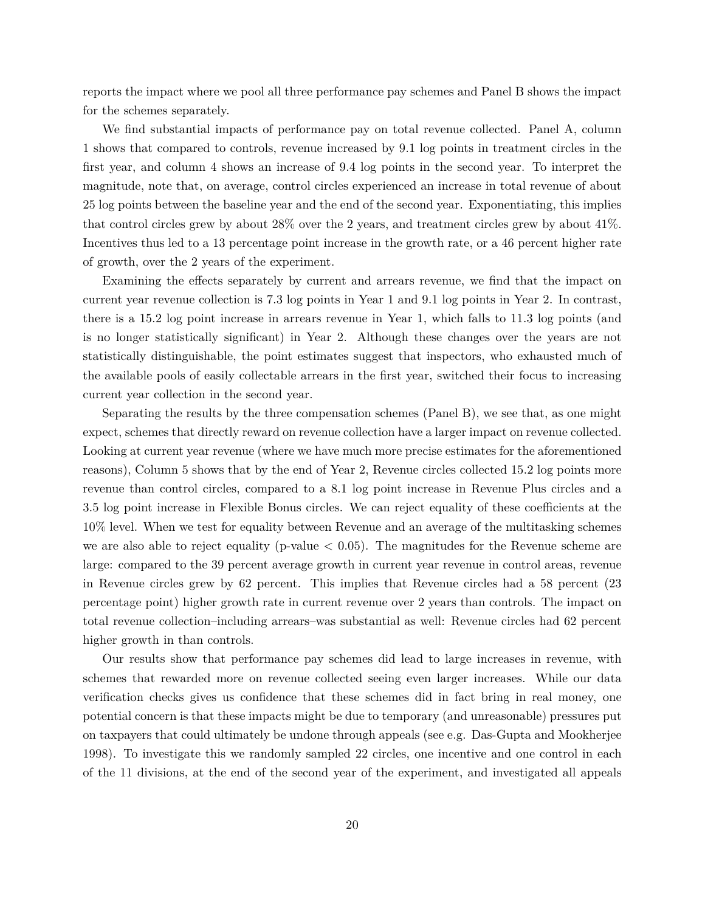reports the impact where we pool all three performance pay schemes and Panel B shows the impact for the schemes separately.

We find substantial impacts of performance pay on total revenue collected. Panel A, column 1 shows that compared to controls, revenue increased by 9.1 log points in treatment circles in the first year, and column 4 shows an increase of 9.4 log points in the second year. To interpret the magnitude, note that, on average, control circles experienced an increase in total revenue of about 25 log points between the baseline year and the end of the second year. Exponentiating, this implies that control circles grew by about 28% over the 2 years, and treatment circles grew by about 41%. Incentives thus led to a 13 percentage point increase in the growth rate, or a 46 percent higher rate of growth, over the 2 years of the experiment.

Examining the effects separately by current and arrears revenue, we find that the impact on current year revenue collection is 7.3 log points in Year 1 and 9.1 log points in Year 2. In contrast, there is a 15.2 log point increase in arrears revenue in Year 1, which falls to 11.3 log points (and is no longer statistically significant) in Year 2. Although these changes over the years are not statistically distinguishable, the point estimates suggest that inspectors, who exhausted much of the available pools of easily collectable arrears in the first year, switched their focus to increasing current year collection in the second year.

Separating the results by the three compensation schemes (Panel B), we see that, as one might expect, schemes that directly reward on revenue collection have a larger impact on revenue collected. Looking at current year revenue (where we have much more precise estimates for the aforementioned reasons), Column 5 shows that by the end of Year 2, Revenue circles collected 15.2 log points more revenue than control circles, compared to a 8.1 log point increase in Revenue Plus circles and a 3.5 log point increase in Flexible Bonus circles. We can reject equality of these coefficients at the 10% level. When we test for equality between Revenue and an average of the multitasking schemes we are also able to reject equality (p-value  $< 0.05$ ). The magnitudes for the Revenue scheme are large: compared to the 39 percent average growth in current year revenue in control areas, revenue in Revenue circles grew by 62 percent. This implies that Revenue circles had a 58 percent (23 percentage point) higher growth rate in current revenue over 2 years than controls. The impact on total revenue collection–including arrears–was substantial as well: Revenue circles had 62 percent higher growth in than controls.

Our results show that performance pay schemes did lead to large increases in revenue, with schemes that rewarded more on revenue collected seeing even larger increases. While our data verification checks gives us confidence that these schemes did in fact bring in real money, one potential concern is that these impacts might be due to temporary (and unreasonable) pressures put on taxpayers that could ultimately be undone through appeals (see e.g. Das-Gupta and Mookherjee 1998). To investigate this we randomly sampled 22 circles, one incentive and one control in each of the 11 divisions, at the end of the second year of the experiment, and investigated all appeals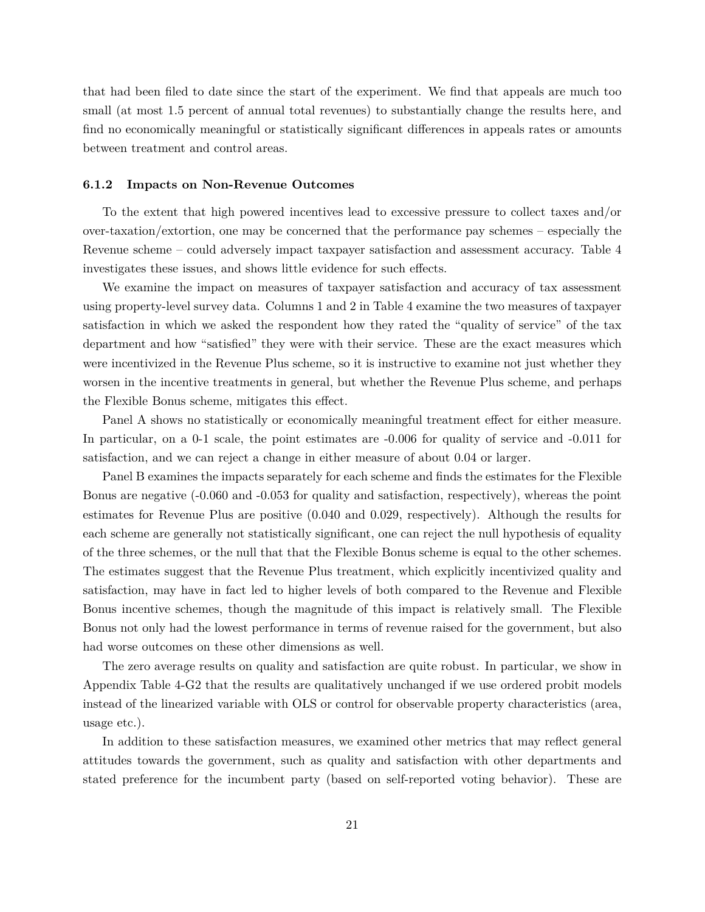that had been filed to date since the start of the experiment. We find that appeals are much too small (at most 1.5 percent of annual total revenues) to substantially change the results here, and find no economically meaningful or statistically significant differences in appeals rates or amounts between treatment and control areas.

#### **6.1.2 Impacts on Non-Revenue Outcomes**

To the extent that high powered incentives lead to excessive pressure to collect taxes and/or over-taxation/extortion, one may be concerned that the performance pay schemes – especially the Revenue scheme – could adversely impact taxpayer satisfaction and assessment accuracy. Table 4 investigates these issues, and shows little evidence for such effects.

We examine the impact on measures of taxpayer satisfaction and accuracy of tax assessment using property-level survey data. Columns 1 and 2 in Table 4 examine the two measures of taxpayer satisfaction in which we asked the respondent how they rated the "quality of service" of the tax department and how "satisfied" they were with their service. These are the exact measures which were incentivized in the Revenue Plus scheme, so it is instructive to examine not just whether they worsen in the incentive treatments in general, but whether the Revenue Plus scheme, and perhaps the Flexible Bonus scheme, mitigates this effect.

Panel A shows no statistically or economically meaningful treatment effect for either measure. In particular, on a 0-1 scale, the point estimates are  $-0.006$  for quality of service and  $-0.011$  for satisfaction, and we can reject a change in either measure of about 0.04 or larger.

Panel B examines the impacts separately for each scheme and finds the estimates for the Flexible Bonus are negative (-0.060 and -0.053 for quality and satisfaction, respectively), whereas the point estimates for Revenue Plus are positive (0.040 and 0.029, respectively). Although the results for each scheme are generally not statistically significant, one can reject the null hypothesis of equality of the three schemes, or the null that that the Flexible Bonus scheme is equal to the other schemes. The estimates suggest that the Revenue Plus treatment, which explicitly incentivized quality and satisfaction, may have in fact led to higher levels of both compared to the Revenue and Flexible Bonus incentive schemes, though the magnitude of this impact is relatively small. The Flexible Bonus not only had the lowest performance in terms of revenue raised for the government, but also had worse outcomes on these other dimensions as well.

The zero average results on quality and satisfaction are quite robust. In particular, we show in Appendix Table 4-G2 that the results are qualitatively unchanged if we use ordered probit models instead of the linearized variable with OLS or control for observable property characteristics (area, usage etc.).

In addition to these satisfaction measures, we examined other metrics that may reflect general attitudes towards the government, such as quality and satisfaction with other departments and stated preference for the incumbent party (based on self-reported voting behavior). These are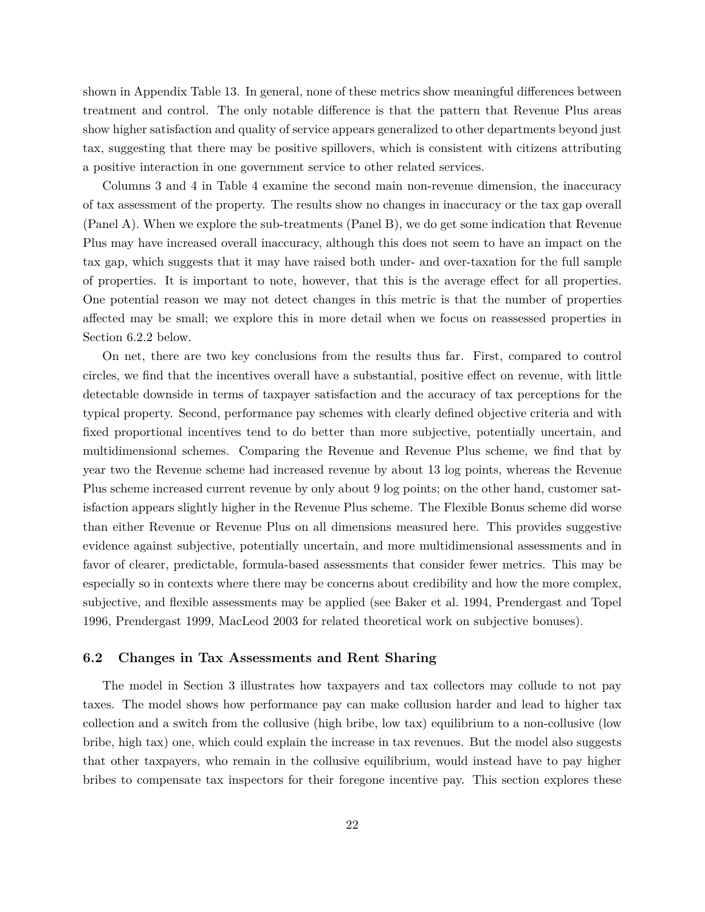shown in Appendix Table 13. In general, none of these metrics show meaningful differences between treatment and control. The only notable difference is that the pattern that Revenue Plus areas show higher satisfaction and quality of service appears generalized to other departments beyond just tax, suggesting that there may be positive spillovers, which is consistent with citizens attributing a positive interaction in one government service to other related services.

Columns 3 and 4 in Table 4 examine the second main non-revenue dimension, the inaccuracy of tax assessment of the property. The results show no changes in inaccuracy or the tax gap overall (Panel A). When we explore the sub-treatments (Panel B), we do get some indication that Revenue Plus may have increased overall inaccuracy, although this does not seem to have an impact on the tax gap, which suggests that it may have raised both under- and over-taxation for the full sample of properties. It is important to note, however, that this is the average effect for all properties. One potential reason we may not detect changes in this metric is that the number of properties affected may be small; we explore this in more detail when we focus on reassessed properties in Section 6.2.2 below.

On net, there are two key conclusions from the results thus far. First, compared to control circles, we find that the incentives overall have a substantial, positive effect on revenue, with little detectable downside in terms of taxpayer satisfaction and the accuracy of tax perceptions for the typical property. Second, performance pay schemes with clearly defined objective criteria and with fixed proportional incentives tend to do better than more subjective, potentially uncertain, and multidimensional schemes. Comparing the Revenue and Revenue Plus scheme, we find that by year two the Revenue scheme had increased revenue by about 13 log points, whereas the Revenue Plus scheme increased current revenue by only about 9 log points; on the other hand, customer satisfaction appears slightly higher in the Revenue Plus scheme. The Flexible Bonus scheme did worse than either Revenue or Revenue Plus on all dimensions measured here. This provides suggestive evidence against subjective, potentially uncertain, and more multidimensional assessments and in favor of clearer, predictable, formula-based assessments that consider fewer metrics. This may be especially so in contexts where there may be concerns about credibility and how the more complex, subjective, and flexible assessments may be applied (see Baker et al. 1994, Prendergast and Topel 1996, Prendergast 1999, MacLeod 2003 for related theoretical work on subjective bonuses).

#### **6.2 Changes in Tax Assessments and Rent Sharing**

The model in Section 3 illustrates how taxpayers and tax collectors may collude to not pay taxes. The model shows how performance pay can make collusion harder and lead to higher tax collection and a switch from the collusive (high bribe, low tax) equilibrium to a non-collusive (low bribe, high tax) one, which could explain the increase in tax revenues. But the model also suggests that other taxpayers, who remain in the collusive equilibrium, would instead have to pay higher bribes to compensate tax inspectors for their foregone incentive pay. This section explores these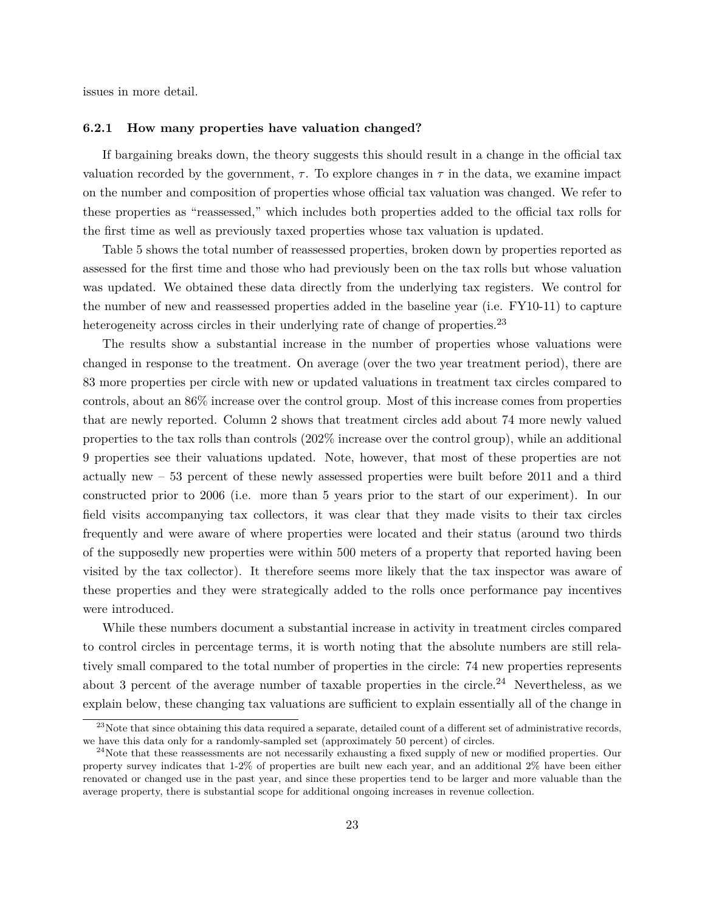issues in more detail.

#### **6.2.1 How many properties have valuation changed?**

If bargaining breaks down, the theory suggests this should result in a change in the official tax valuation recorded by the government,  $\tau$ . To explore changes in  $\tau$  in the data, we examine impact on the number and composition of properties whose official tax valuation was changed. We refer to these properties as "reassessed," which includes both properties added to the official tax rolls for the first time as well as previously taxed properties whose tax valuation is updated.

Table 5 shows the total number of reassessed properties, broken down by properties reported as assessed for the first time and those who had previously been on the tax rolls but whose valuation was updated. We obtained these data directly from the underlying tax registers. We control for the number of new and reassessed properties added in the baseline year (i.e. FY10-11) to capture heterogeneity across circles in their underlying rate of change of properties.<sup>23</sup>

The results show a substantial increase in the number of properties whose valuations were changed in response to the treatment. On average (over the two year treatment period), there are 83 more properties per circle with new or updated valuations in treatment tax circles compared to controls, about an 86% increase over the control group. Most of this increase comes from properties that are newly reported. Column 2 shows that treatment circles add about 74 more newly valued properties to the tax rolls than controls (202% increase over the control group), while an additional 9 properties see their valuations updated. Note, however, that most of these properties are not actually new – 53 percent of these newly assessed properties were built before 2011 and a third constructed prior to 2006 (i.e. more than 5 years prior to the start of our experiment). In our field visits accompanying tax collectors, it was clear that they made visits to their tax circles frequently and were aware of where properties were located and their status (around two thirds of the supposedly new properties were within 500 meters of a property that reported having been visited by the tax collector). It therefore seems more likely that the tax inspector was aware of these properties and they were strategically added to the rolls once performance pay incentives were introduced.

While these numbers document a substantial increase in activity in treatment circles compared to control circles in percentage terms, it is worth noting that the absolute numbers are still relatively small compared to the total number of properties in the circle: 74 new properties represents about 3 percent of the average number of taxable properties in the circle.<sup>24</sup> Nevertheless, as we explain below, these changing tax valuations are sufficient to explain essentially all of the change in

 $23$ Note that since obtaining this data required a separate, detailed count of a different set of administrative records, we have this data only for a randomly-sampled set (approximately 50 percent) of circles.

<sup>&</sup>lt;sup>24</sup>Note that these reassessments are not necessarily exhausting a fixed supply of new or modified properties. Our property survey indicates that 1-2% of properties are built new each year, and an additional 2% have been either renovated or changed use in the past year, and since these properties tend to be larger and more valuable than the average property, there is substantial scope for additional ongoing increases in revenue collection.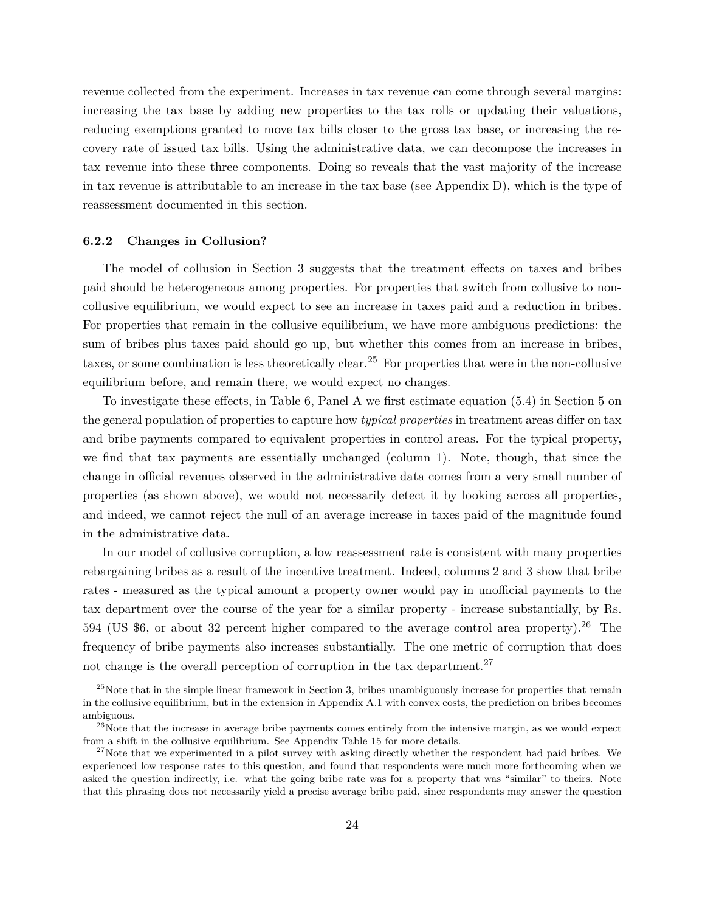revenue collected from the experiment. Increases in tax revenue can come through several margins: increasing the tax base by adding new properties to the tax rolls or updating their valuations, reducing exemptions granted to move tax bills closer to the gross tax base, or increasing the recovery rate of issued tax bills. Using the administrative data, we can decompose the increases in tax revenue into these three components. Doing so reveals that the vast majority of the increase in tax revenue is attributable to an increase in the tax base (see Appendix D), which is the type of reassessment documented in this section.

#### **6.2.2 Changes in Collusion?**

The model of collusion in Section 3 suggests that the treatment effects on taxes and bribes paid should be heterogeneous among properties. For properties that switch from collusive to noncollusive equilibrium, we would expect to see an increase in taxes paid and a reduction in bribes. For properties that remain in the collusive equilibrium, we have more ambiguous predictions: the sum of bribes plus taxes paid should go up, but whether this comes from an increase in bribes, taxes, or some combination is less theoretically clear.<sup>25</sup> For properties that were in the non-collusive equilibrium before, and remain there, we would expect no changes.

To investigate these effects, in Table 6, Panel A we first estimate equation (5.4) in Section 5 on the general population of properties to capture how *typical properties* in treatment areas differ on tax and bribe payments compared to equivalent properties in control areas. For the typical property, we find that tax payments are essentially unchanged (column 1). Note, though, that since the change in official revenues observed in the administrative data comes from a very small number of properties (as shown above), we would not necessarily detect it by looking across all properties, and indeed, we cannot reject the null of an average increase in taxes paid of the magnitude found in the administrative data.

In our model of collusive corruption, a low reassessment rate is consistent with many properties rebargaining bribes as a result of the incentive treatment. Indeed, columns 2 and 3 show that bribe rates - measured as the typical amount a property owner would pay in unofficial payments to the tax department over the course of the year for a similar property - increase substantially, by Rs. 594 (US \$6, or about 32 percent higher compared to the average control area property).<sup>26</sup> The frequency of bribe payments also increases substantially. The one metric of corruption that does not change is the overall perception of corruption in the tax department.<sup>27</sup>

 $^{25}$ Note that in the simple linear framework in Section 3, bribes unambiguously increase for properties that remain in the collusive equilibrium, but in the extension in Appendix A.1 with convex costs, the prediction on bribes becomes ambiguous.

 $26$ Note that the increase in average bribe payments comes entirely from the intensive margin, as we would expect from a shift in the collusive equilibrium. See Appendix Table 15 for more details.

 $27$ Note that we experimented in a pilot survey with asking directly whether the respondent had paid bribes. We experienced low response rates to this question, and found that respondents were much more forthcoming when we asked the question indirectly, i.e. what the going bribe rate was for a property that was "similar" to theirs. Note that this phrasing does not necessarily yield a precise average bribe paid, since respondents may answer the question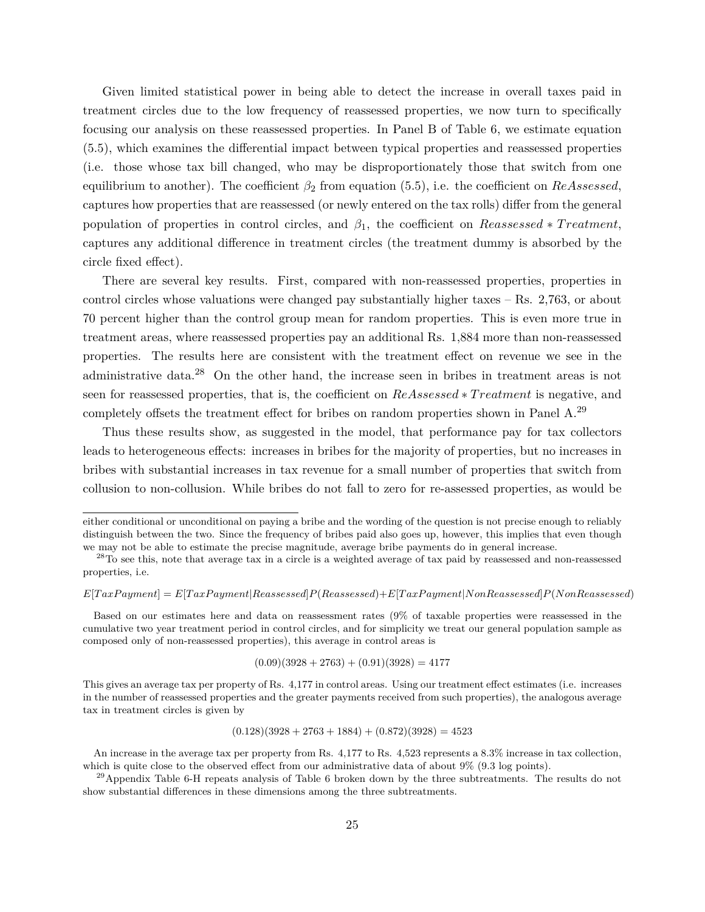Given limited statistical power in being able to detect the increase in overall taxes paid in treatment circles due to the low frequency of reassessed properties, we now turn to specifically focusing our analysis on these reassessed properties. In Panel B of Table 6, we estimate equation (5.5), which examines the differential impact between typical properties and reassessed properties (i.e. those whose tax bill changed, who may be disproportionately those that switch from one equilibrium to another). The coefficient  $\beta_2$  from equation (5.5), i.e. the coefficient on *ReAssessed*, captures how properties that are reassessed (or newly entered on the tax rolls) differ from the general population of properties in control circles, and  $\beta_1$ , the coefficient on *Reassessed* \* *Treatment*, captures any additional difference in treatment circles (the treatment dummy is absorbed by the circle fixed effect).

There are several key results. First, compared with non-reassessed properties, properties in control circles whose valuations were changed pay substantially higher taxes – Rs. 2,763, or about 70 percent higher than the control group mean for random properties. This is even more true in treatment areas, where reassessed properties pay an additional Rs. 1,884 more than non-reassessed properties. The results here are consistent with the treatment effect on revenue we see in the administrative data.<sup>28</sup> On the other hand, the increase seen in bribes in treatment areas is not seen for reassessed properties, that is, the coefficient on *ReAssessed* ∗ *T reatment* is negative, and completely offsets the treatment effect for bribes on random properties shown in Panel A.<sup>29</sup>

Thus these results show, as suggested in the model, that performance pay for tax collectors leads to heterogeneous effects: increases in bribes for the majority of properties, but no increases in bribes with substantial increases in tax revenue for a small number of properties that switch from collusion to non-collusion. While bribes do not fall to zero for re-assessed properties, as would be

*E*[*T axP ayment*] = *E*[*T axP ayment*|*Reassessed*]*P*(*Reassessed*)+*E*[*T axP ayment*|*NonReassessed*]*P*(*NonReassessed*)

Based on our estimates here and data on reassessment rates (9% of taxable properties were reassessed in the cumulative two year treatment period in control circles, and for simplicity we treat our general population sample as composed only of non-reassessed properties), this average in control areas is

 $(0.09)(3928 + 2763) + (0.91)(3928) = 4177$ 

This gives an average tax per property of Rs. 4,177 in control areas. Using our treatment effect estimates (i.e. increases in the number of reassessed properties and the greater payments received from such properties), the analogous average tax in treatment circles is given by

 $(0.128)(3928 + 2763 + 1884) + (0.872)(3928) = 4523$ 

either conditional or unconditional on paying a bribe and the wording of the question is not precise enough to reliably distinguish between the two. Since the frequency of bribes paid also goes up, however, this implies that even though we may not be able to estimate the precise magnitude, average bribe payments do in general increase.

<sup>&</sup>lt;sup>28</sup>To see this, note that average tax in a circle is a weighted average of tax paid by reassessed and non-reassessed properties, i.e.

An increase in the average tax per property from Rs. 4,177 to Rs. 4,523 represents a 8.3% increase in tax collection, which is quite close to the observed effect from our administrative data of about 9% (9.3 log points).

 $^{29}$ Appendix Table 6-H repeats analysis of Table 6 broken down by the three subtreatments. The results do not show substantial differences in these dimensions among the three subtreatments.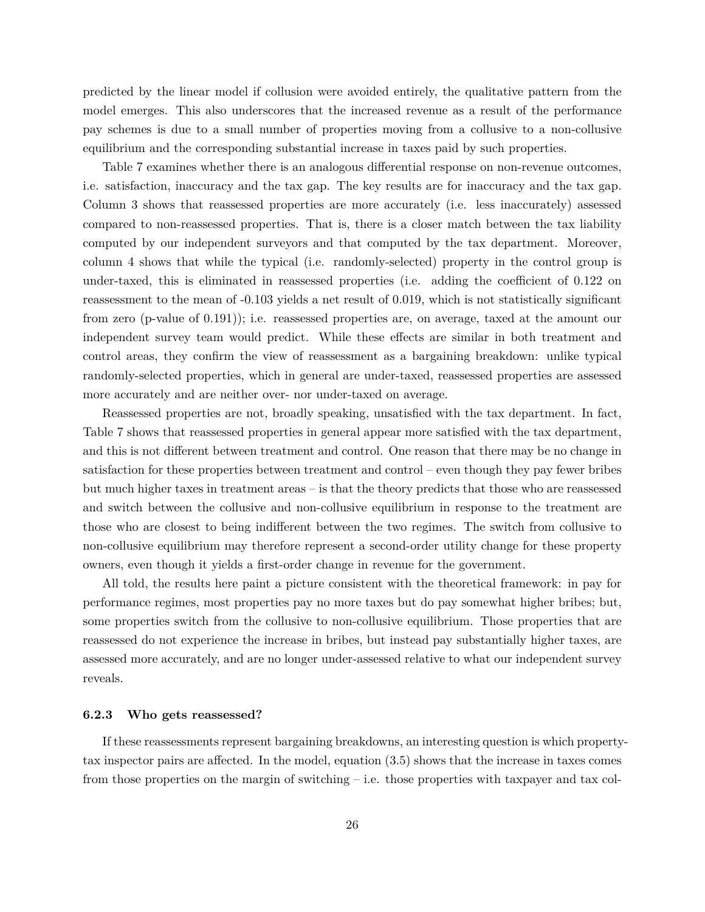predicted by the linear model if collusion were avoided entirely, the qualitative pattern from the model emerges. This also underscores that the increased revenue as a result of the performance pay schemes is due to a small number of properties moving from a collusive to a non-collusive equilibrium and the corresponding substantial increase in taxes paid by such properties.

Table 7 examines whether there is an analogous differential response on non-revenue outcomes, i.e. satisfaction, inaccuracy and the tax gap. The key results are for inaccuracy and the tax gap. Column 3 shows that reassessed properties are more accurately (i.e. less inaccurately) assessed compared to non-reassessed properties. That is, there is a closer match between the tax liability computed by our independent surveyors and that computed by the tax department. Moreover, column 4 shows that while the typical (i.e. randomly-selected) property in the control group is under-taxed, this is eliminated in reassessed properties (i.e. adding the coefficient of 0.122 on reassessment to the mean of -0.103 yields a net result of 0.019, which is not statistically significant from zero (p-value of 0.191)); i.e. reassessed properties are, on average, taxed at the amount our independent survey team would predict. While these effects are similar in both treatment and control areas, they confirm the view of reassessment as a bargaining breakdown: unlike typical randomly-selected properties, which in general are under-taxed, reassessed properties are assessed more accurately and are neither over- nor under-taxed on average.

Reassessed properties are not, broadly speaking, unsatisfied with the tax department. In fact, Table 7 shows that reassessed properties in general appear more satisfied with the tax department, and this is not different between treatment and control. One reason that there may be no change in satisfaction for these properties between treatment and control – even though they pay fewer bribes but much higher taxes in treatment areas – is that the theory predicts that those who are reassessed and switch between the collusive and non-collusive equilibrium in response to the treatment are those who are closest to being indifferent between the two regimes. The switch from collusive to non-collusive equilibrium may therefore represent a second-order utility change for these property owners, even though it yields a first-order change in revenue for the government.

All told, the results here paint a picture consistent with the theoretical framework: in pay for performance regimes, most properties pay no more taxes but do pay somewhat higher bribes; but, some properties switch from the collusive to non-collusive equilibrium. Those properties that are reassessed do not experience the increase in bribes, but instead pay substantially higher taxes, are assessed more accurately, and are no longer under-assessed relative to what our independent survey reveals.

#### **6.2.3 Who gets reassessed?**

If these reassessments represent bargaining breakdowns, an interesting question is which propertytax inspector pairs are affected. In the model, equation (3.5) shows that the increase in taxes comes from those properties on the margin of switching – i.e. those properties with taxpayer and tax col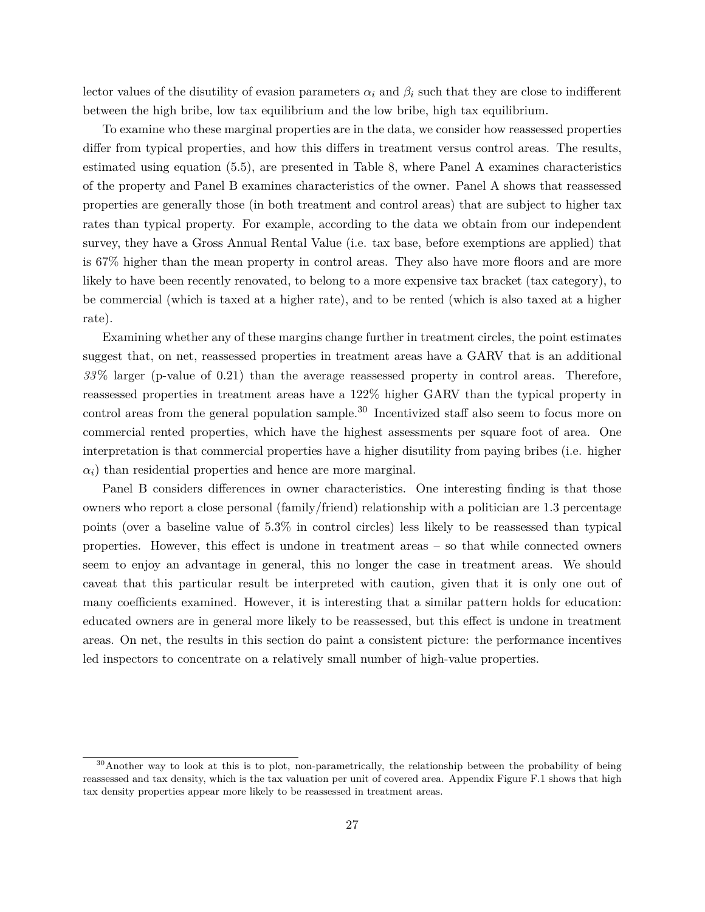lector values of the disutility of evasion parameters  $\alpha_i$  and  $\beta_i$  such that they are close to indifferent between the high bribe, low tax equilibrium and the low bribe, high tax equilibrium.

To examine who these marginal properties are in the data, we consider how reassessed properties differ from typical properties, and how this differs in treatment versus control areas. The results, estimated using equation (5.5), are presented in Table 8, where Panel A examines characteristics of the property and Panel B examines characteristics of the owner. Panel A shows that reassessed properties are generally those (in both treatment and control areas) that are subject to higher tax rates than typical property. For example, according to the data we obtain from our independent survey, they have a Gross Annual Rental Value (i.e. tax base, before exemptions are applied) that is 67% higher than the mean property in control areas. They also have more floors and are more likely to have been recently renovated, to belong to a more expensive tax bracket (tax category), to be commercial (which is taxed at a higher rate), and to be rented (which is also taxed at a higher rate).

Examining whether any of these margins change further in treatment circles, the point estimates suggest that, on net, reassessed properties in treatment areas have a GARV that is an additional *33*% larger (p-value of 0.21) than the average reassessed property in control areas. Therefore, reassessed properties in treatment areas have a 122% higher GARV than the typical property in control areas from the general population sample.<sup>30</sup> Incentivized staff also seem to focus more on commercial rented properties, which have the highest assessments per square foot of area. One interpretation is that commercial properties have a higher disutility from paying bribes (i.e. higher  $\alpha_i$ ) than residential properties and hence are more marginal.

Panel B considers differences in owner characteristics. One interesting finding is that those owners who report a close personal (family/friend) relationship with a politician are 1.3 percentage points (over a baseline value of 5.3% in control circles) less likely to be reassessed than typical properties. However, this effect is undone in treatment areas – so that while connected owners seem to enjoy an advantage in general, this no longer the case in treatment areas. We should caveat that this particular result be interpreted with caution, given that it is only one out of many coefficients examined. However, it is interesting that a similar pattern holds for education: educated owners are in general more likely to be reassessed, but this effect is undone in treatment areas. On net, the results in this section do paint a consistent picture: the performance incentives led inspectors to concentrate on a relatively small number of high-value properties.

<sup>&</sup>lt;sup>30</sup>Another way to look at this is to plot, non-parametrically, the relationship between the probability of being reassessed and tax density, which is the tax valuation per unit of covered area. Appendix Figure F.1 shows that high tax density properties appear more likely to be reassessed in treatment areas.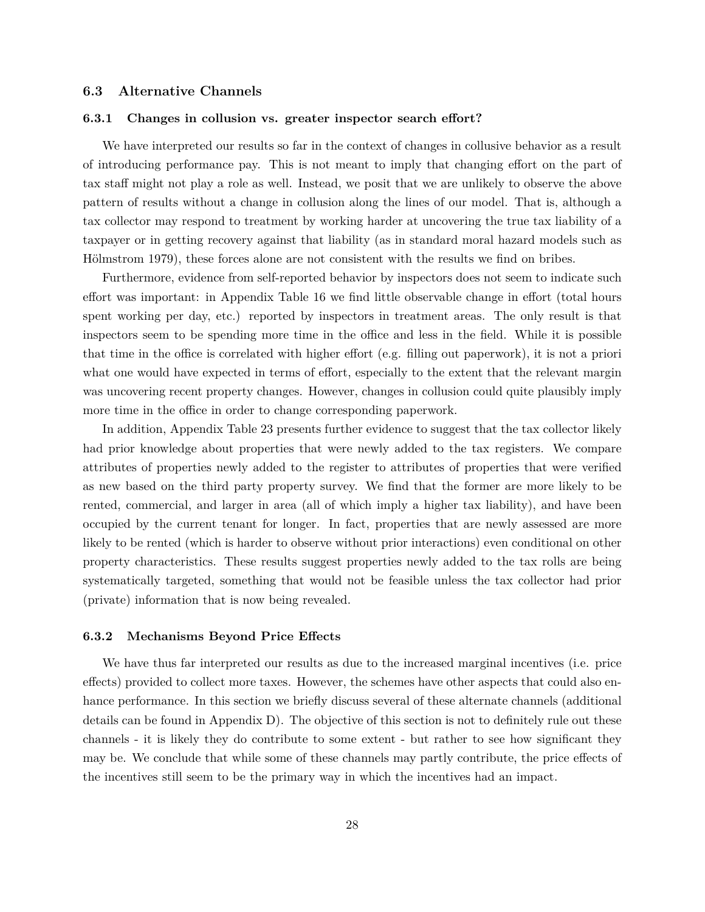#### **6.3 Alternative Channels**

#### **6.3.1 Changes in collusion vs. greater inspector search effort?**

We have interpreted our results so far in the context of changes in collusive behavior as a result of introducing performance pay. This is not meant to imply that changing effort on the part of tax staff might not play a role as well. Instead, we posit that we are unlikely to observe the above pattern of results without a change in collusion along the lines of our model. That is, although a tax collector may respond to treatment by working harder at uncovering the true tax liability of a taxpayer or in getting recovery against that liability (as in standard moral hazard models such as Hölmstrom 1979), these forces alone are not consistent with the results we find on bribes.

Furthermore, evidence from self-reported behavior by inspectors does not seem to indicate such effort was important: in Appendix Table 16 we find little observable change in effort (total hours spent working per day, etc.) reported by inspectors in treatment areas. The only result is that inspectors seem to be spending more time in the office and less in the field. While it is possible that time in the office is correlated with higher effort (e.g. filling out paperwork), it is not a priori what one would have expected in terms of effort, especially to the extent that the relevant margin was uncovering recent property changes. However, changes in collusion could quite plausibly imply more time in the office in order to change corresponding paperwork.

In addition, Appendix Table 23 presents further evidence to suggest that the tax collector likely had prior knowledge about properties that were newly added to the tax registers. We compare attributes of properties newly added to the register to attributes of properties that were verified as new based on the third party property survey. We find that the former are more likely to be rented, commercial, and larger in area (all of which imply a higher tax liability), and have been occupied by the current tenant for longer. In fact, properties that are newly assessed are more likely to be rented (which is harder to observe without prior interactions) even conditional on other property characteristics. These results suggest properties newly added to the tax rolls are being systematically targeted, something that would not be feasible unless the tax collector had prior (private) information that is now being revealed.

#### **6.3.2 Mechanisms Beyond Price Effects**

We have thus far interpreted our results as due to the increased marginal incentives (i.e. price effects) provided to collect more taxes. However, the schemes have other aspects that could also enhance performance. In this section we briefly discuss several of these alternate channels (additional details can be found in Appendix D). The objective of this section is not to definitely rule out these channels - it is likely they do contribute to some extent - but rather to see how significant they may be. We conclude that while some of these channels may partly contribute, the price effects of the incentives still seem to be the primary way in which the incentives had an impact.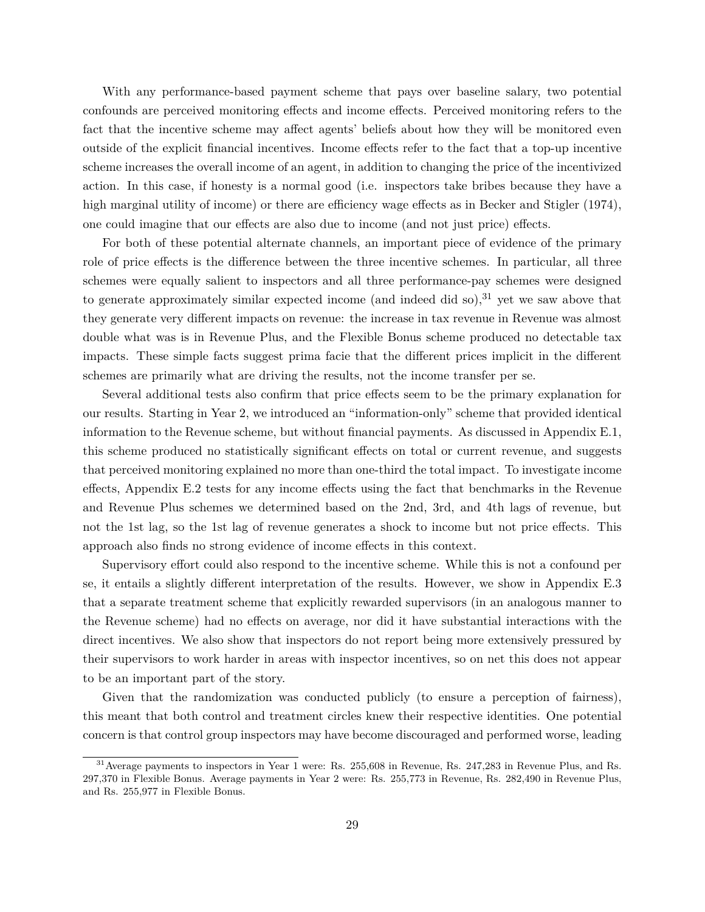With any performance-based payment scheme that pays over baseline salary, two potential confounds are perceived monitoring effects and income effects. Perceived monitoring refers to the fact that the incentive scheme may affect agents' beliefs about how they will be monitored even outside of the explicit financial incentives. Income effects refer to the fact that a top-up incentive scheme increases the overall income of an agent, in addition to changing the price of the incentivized action. In this case, if honesty is a normal good (i.e. inspectors take bribes because they have a high marginal utility of income) or there are efficiency wage effects as in Becker and Stigler (1974), one could imagine that our effects are also due to income (and not just price) effects.

For both of these potential alternate channels, an important piece of evidence of the primary role of price effects is the difference between the three incentive schemes. In particular, all three schemes were equally salient to inspectors and all three performance-pay schemes were designed to generate approximately similar expected income (and indeed did so), $31$  yet we saw above that they generate very different impacts on revenue: the increase in tax revenue in Revenue was almost double what was is in Revenue Plus, and the Flexible Bonus scheme produced no detectable tax impacts. These simple facts suggest prima facie that the different prices implicit in the different schemes are primarily what are driving the results, not the income transfer per se.

Several additional tests also confirm that price effects seem to be the primary explanation for our results. Starting in Year 2, we introduced an "information-only" scheme that provided identical information to the Revenue scheme, but without financial payments. As discussed in Appendix E.1, this scheme produced no statistically significant effects on total or current revenue, and suggests that perceived monitoring explained no more than one-third the total impact. To investigate income effects, Appendix E.2 tests for any income effects using the fact that benchmarks in the Revenue and Revenue Plus schemes we determined based on the 2nd, 3rd, and 4th lags of revenue, but not the 1st lag, so the 1st lag of revenue generates a shock to income but not price effects. This approach also finds no strong evidence of income effects in this context.

Supervisory effort could also respond to the incentive scheme. While this is not a confound per se, it entails a slightly different interpretation of the results. However, we show in Appendix E.3 that a separate treatment scheme that explicitly rewarded supervisors (in an analogous manner to the Revenue scheme) had no effects on average, nor did it have substantial interactions with the direct incentives. We also show that inspectors do not report being more extensively pressured by their supervisors to work harder in areas with inspector incentives, so on net this does not appear to be an important part of the story.

Given that the randomization was conducted publicly (to ensure a perception of fairness), this meant that both control and treatment circles knew their respective identities. One potential concern is that control group inspectors may have become discouraged and performed worse, leading

<sup>31</sup>Average payments to inspectors in Year 1 were: Rs. 255,608 in Revenue, Rs. 247,283 in Revenue Plus, and Rs. 297,370 in Flexible Bonus. Average payments in Year 2 were: Rs. 255,773 in Revenue, Rs. 282,490 in Revenue Plus, and Rs. 255,977 in Flexible Bonus.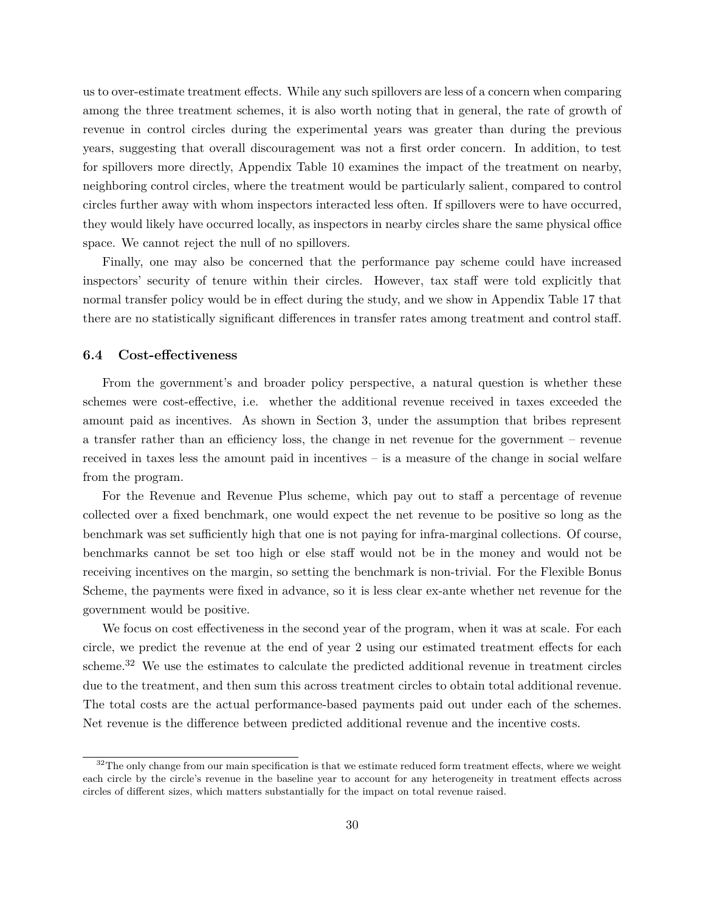us to over-estimate treatment effects. While any such spillovers are less of a concern when comparing among the three treatment schemes, it is also worth noting that in general, the rate of growth of revenue in control circles during the experimental years was greater than during the previous years, suggesting that overall discouragement was not a first order concern. In addition, to test for spillovers more directly, Appendix Table 10 examines the impact of the treatment on nearby, neighboring control circles, where the treatment would be particularly salient, compared to control circles further away with whom inspectors interacted less often. If spillovers were to have occurred, they would likely have occurred locally, as inspectors in nearby circles share the same physical office space. We cannot reject the null of no spillovers.

Finally, one may also be concerned that the performance pay scheme could have increased inspectors' security of tenure within their circles. However, tax staff were told explicitly that normal transfer policy would be in effect during the study, and we show in Appendix Table 17 that there are no statistically significant differences in transfer rates among treatment and control staff.

#### **6.4 Cost-effectiveness**

From the government's and broader policy perspective, a natural question is whether these schemes were cost-effective, i.e. whether the additional revenue received in taxes exceeded the amount paid as incentives. As shown in Section 3, under the assumption that bribes represent a transfer rather than an efficiency loss, the change in net revenue for the government – revenue received in taxes less the amount paid in incentives – is a measure of the change in social welfare from the program.

For the Revenue and Revenue Plus scheme, which pay out to staff a percentage of revenue collected over a fixed benchmark, one would expect the net revenue to be positive so long as the benchmark was set sufficiently high that one is not paying for infra-marginal collections. Of course, benchmarks cannot be set too high or else staff would not be in the money and would not be receiving incentives on the margin, so setting the benchmark is non-trivial. For the Flexible Bonus Scheme, the payments were fixed in advance, so it is less clear ex-ante whether net revenue for the government would be positive.

We focus on cost effectiveness in the second year of the program, when it was at scale. For each circle, we predict the revenue at the end of year 2 using our estimated treatment effects for each scheme.<sup>32</sup> We use the estimates to calculate the predicted additional revenue in treatment circles due to the treatment, and then sum this across treatment circles to obtain total additional revenue. The total costs are the actual performance-based payments paid out under each of the schemes. Net revenue is the difference between predicted additional revenue and the incentive costs.

 $32$ The only change from our main specification is that we estimate reduced form treatment effects, where we weight each circle by the circle's revenue in the baseline year to account for any heterogeneity in treatment effects across circles of different sizes, which matters substantially for the impact on total revenue raised.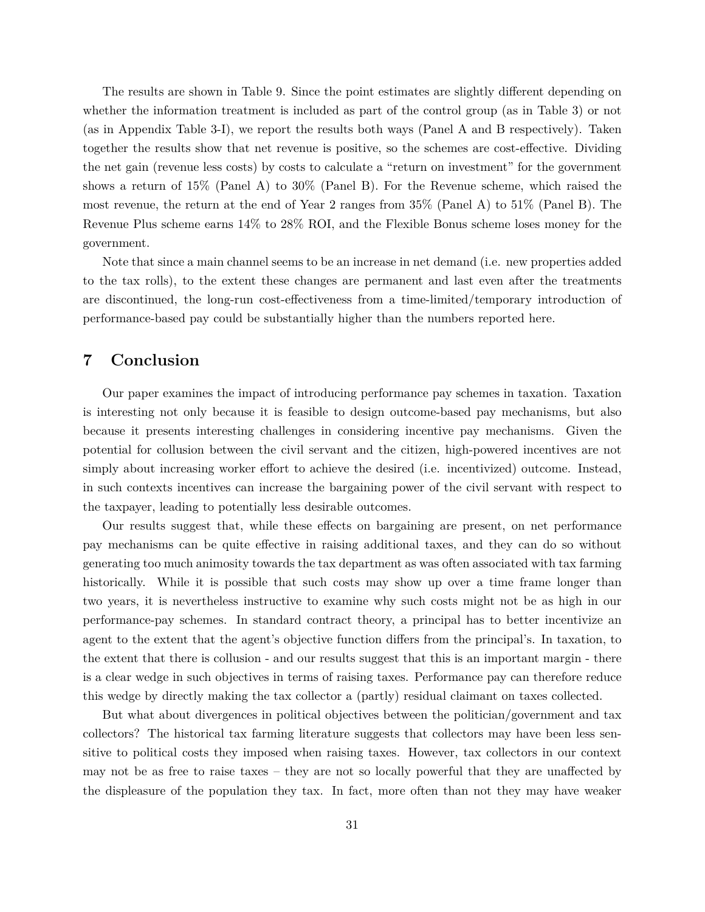The results are shown in Table 9. Since the point estimates are slightly different depending on whether the information treatment is included as part of the control group (as in Table 3) or not (as in Appendix Table 3-I), we report the results both ways (Panel A and B respectively). Taken together the results show that net revenue is positive, so the schemes are cost-effective. Dividing the net gain (revenue less costs) by costs to calculate a "return on investment" for the government shows a return of 15% (Panel A) to 30% (Panel B). For the Revenue scheme, which raised the most revenue, the return at the end of Year 2 ranges from 35% (Panel A) to 51% (Panel B). The Revenue Plus scheme earns 14% to 28% ROI, and the Flexible Bonus scheme loses money for the government.

Note that since a main channel seems to be an increase in net demand (i.e. new properties added to the tax rolls), to the extent these changes are permanent and last even after the treatments are discontinued, the long-run cost-effectiveness from a time-limited/temporary introduction of performance-based pay could be substantially higher than the numbers reported here.

# **7 Conclusion**

Our paper examines the impact of introducing performance pay schemes in taxation. Taxation is interesting not only because it is feasible to design outcome-based pay mechanisms, but also because it presents interesting challenges in considering incentive pay mechanisms. Given the potential for collusion between the civil servant and the citizen, high-powered incentives are not simply about increasing worker effort to achieve the desired (i.e. incentivized) outcome. Instead, in such contexts incentives can increase the bargaining power of the civil servant with respect to the taxpayer, leading to potentially less desirable outcomes.

Our results suggest that, while these effects on bargaining are present, on net performance pay mechanisms can be quite effective in raising additional taxes, and they can do so without generating too much animosity towards the tax department as was often associated with tax farming historically. While it is possible that such costs may show up over a time frame longer than two years, it is nevertheless instructive to examine why such costs might not be as high in our performance-pay schemes. In standard contract theory, a principal has to better incentivize an agent to the extent that the agent's objective function differs from the principal's. In taxation, to the extent that there is collusion - and our results suggest that this is an important margin - there is a clear wedge in such objectives in terms of raising taxes. Performance pay can therefore reduce this wedge by directly making the tax collector a (partly) residual claimant on taxes collected.

But what about divergences in political objectives between the politician/government and tax collectors? The historical tax farming literature suggests that collectors may have been less sensitive to political costs they imposed when raising taxes. However, tax collectors in our context may not be as free to raise taxes – they are not so locally powerful that they are unaffected by the displeasure of the population they tax. In fact, more often than not they may have weaker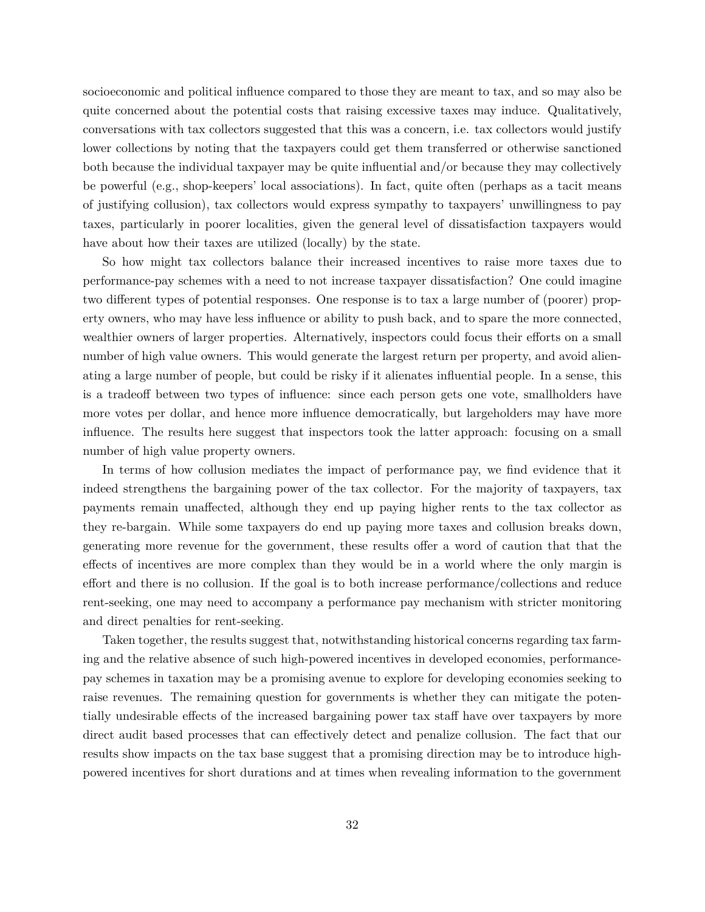socioeconomic and political influence compared to those they are meant to tax, and so may also be quite concerned about the potential costs that raising excessive taxes may induce. Qualitatively, conversations with tax collectors suggested that this was a concern, i.e. tax collectors would justify lower collections by noting that the taxpayers could get them transferred or otherwise sanctioned both because the individual taxpayer may be quite influential and/or because they may collectively be powerful (e.g., shop-keepers' local associations). In fact, quite often (perhaps as a tacit means of justifying collusion), tax collectors would express sympathy to taxpayers' unwillingness to pay taxes, particularly in poorer localities, given the general level of dissatisfaction taxpayers would have about how their taxes are utilized (locally) by the state.

So how might tax collectors balance their increased incentives to raise more taxes due to performance-pay schemes with a need to not increase taxpayer dissatisfaction? One could imagine two different types of potential responses. One response is to tax a large number of (poorer) property owners, who may have less influence or ability to push back, and to spare the more connected, wealthier owners of larger properties. Alternatively, inspectors could focus their efforts on a small number of high value owners. This would generate the largest return per property, and avoid alienating a large number of people, but could be risky if it alienates influential people. In a sense, this is a tradeoff between two types of influence: since each person gets one vote, smallholders have more votes per dollar, and hence more influence democratically, but largeholders may have more influence. The results here suggest that inspectors took the latter approach: focusing on a small number of high value property owners.

In terms of how collusion mediates the impact of performance pay, we find evidence that it indeed strengthens the bargaining power of the tax collector. For the majority of taxpayers, tax payments remain unaffected, although they end up paying higher rents to the tax collector as they re-bargain. While some taxpayers do end up paying more taxes and collusion breaks down, generating more revenue for the government, these results offer a word of caution that that the effects of incentives are more complex than they would be in a world where the only margin is effort and there is no collusion. If the goal is to both increase performance/collections and reduce rent-seeking, one may need to accompany a performance pay mechanism with stricter monitoring and direct penalties for rent-seeking.

Taken together, the results suggest that, notwithstanding historical concerns regarding tax farming and the relative absence of such high-powered incentives in developed economies, performancepay schemes in taxation may be a promising avenue to explore for developing economies seeking to raise revenues. The remaining question for governments is whether they can mitigate the potentially undesirable effects of the increased bargaining power tax staff have over taxpayers by more direct audit based processes that can effectively detect and penalize collusion. The fact that our results show impacts on the tax base suggest that a promising direction may be to introduce highpowered incentives for short durations and at times when revealing information to the government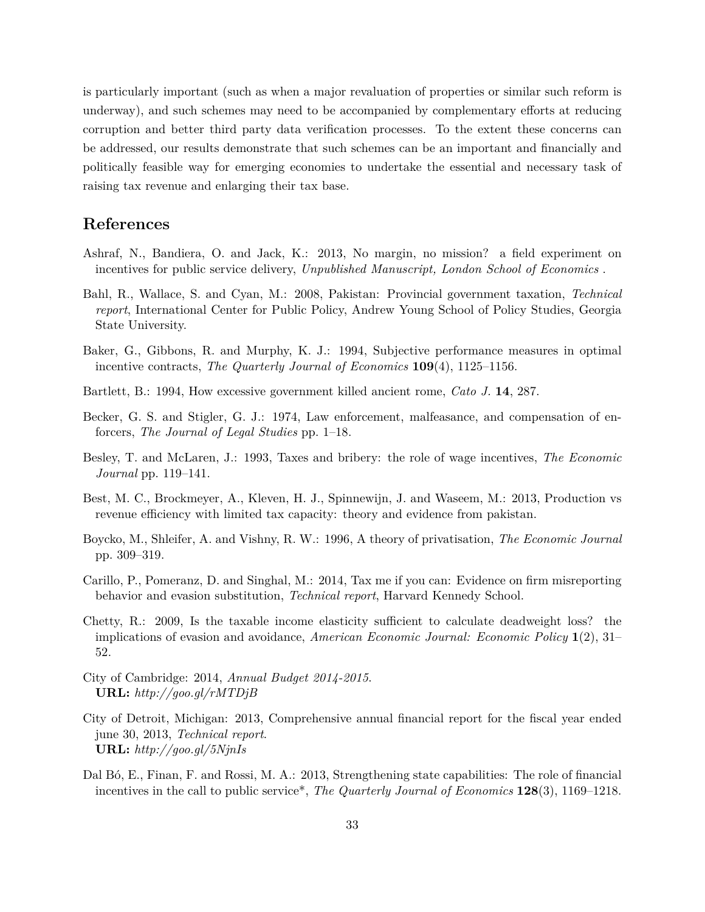is particularly important (such as when a major revaluation of properties or similar such reform is underway), and such schemes may need to be accompanied by complementary efforts at reducing corruption and better third party data verification processes. To the extent these concerns can be addressed, our results demonstrate that such schemes can be an important and financially and politically feasible way for emerging economies to undertake the essential and necessary task of raising tax revenue and enlarging their tax base.

# **References**

- Ashraf, N., Bandiera, O. and Jack, K.: 2013, No margin, no mission? a field experiment on incentives for public service delivery, *Unpublished Manuscript, London School of Economics* .
- Bahl, R., Wallace, S. and Cyan, M.: 2008, Pakistan: Provincial government taxation, *Technical report*, International Center for Public Policy, Andrew Young School of Policy Studies, Georgia State University.
- Baker, G., Gibbons, R. and Murphy, K. J.: 1994, Subjective performance measures in optimal incentive contracts, *The Quarterly Journal of Economics* **109**(4), 1125–1156.
- Bartlett, B.: 1994, How excessive government killed ancient rome, *Cato J.* **14**, 287.
- Becker, G. S. and Stigler, G. J.: 1974, Law enforcement, malfeasance, and compensation of enforcers, *The Journal of Legal Studies* pp. 1–18.
- Besley, T. and McLaren, J.: 1993, Taxes and bribery: the role of wage incentives, *The Economic Journal* pp. 119–141.
- Best, M. C., Brockmeyer, A., Kleven, H. J., Spinnewijn, J. and Waseem, M.: 2013, Production vs revenue efficiency with limited tax capacity: theory and evidence from pakistan.
- Boycko, M., Shleifer, A. and Vishny, R. W.: 1996, A theory of privatisation, *The Economic Journal* pp. 309–319.
- Carillo, P., Pomeranz, D. and Singhal, M.: 2014, Tax me if you can: Evidence on firm misreporting behavior and evasion substitution, *Technical report*, Harvard Kennedy School.
- Chetty, R.: 2009, Is the taxable income elasticity sufficient to calculate deadweight loss? the implications of evasion and avoidance, *American Economic Journal: Economic Policy* **1**(2), 31– 52.
- City of Cambridge: 2014, *Annual Budget 2014-2015*. **URL:** *http://goo.gl/rMTDjB*
- City of Detroit, Michigan: 2013, Comprehensive annual financial report for the fiscal year ended june 30, 2013, *Technical report*. **URL:** *http://goo.gl/5NjnIs*
- Dal Bó, E., Finan, F. and Rossi, M. A.: 2013, Strengthening state capabilities: The role of financial incentives in the call to public service\*, *The Quarterly Journal of Economics* **128**(3), 1169–1218.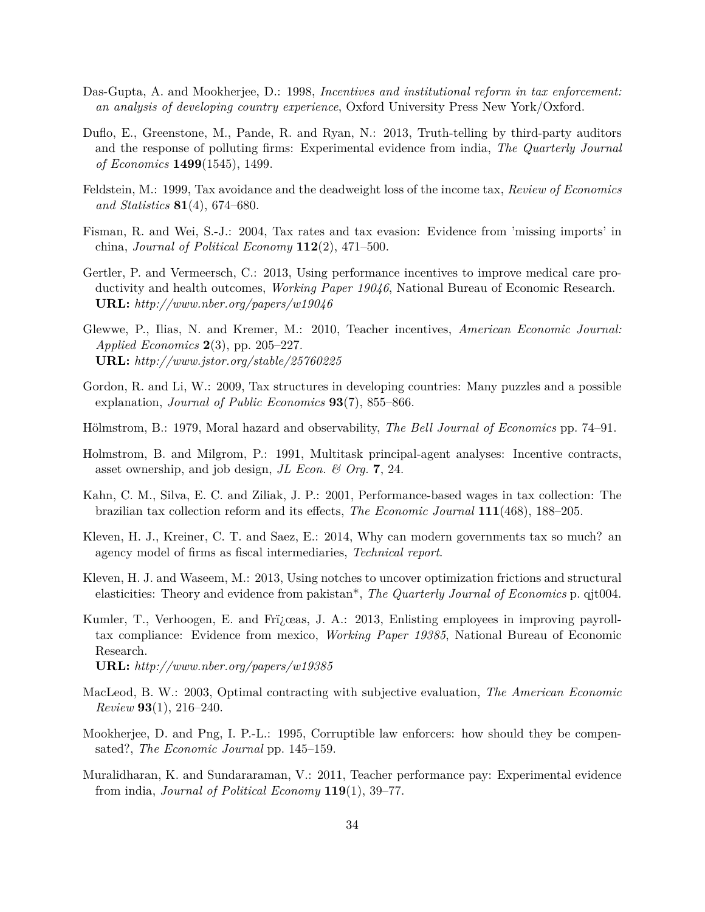- Das-Gupta, A. and Mookherjee, D.: 1998, *Incentives and institutional reform in tax enforcement: an analysis of developing country experience*, Oxford University Press New York/Oxford.
- Duflo, E., Greenstone, M., Pande, R. and Ryan, N.: 2013, Truth-telling by third-party auditors and the response of polluting firms: Experimental evidence from india, *The Quarterly Journal of Economics* **1499**(1545), 1499.
- Feldstein, M.: 1999, Tax avoidance and the deadweight loss of the income tax, *Review of Economics and Statistics* **81**(4), 674–680.
- Fisman, R. and Wei, S.-J.: 2004, Tax rates and tax evasion: Evidence from 'missing imports' in china, *Journal of Political Economy* **112**(2), 471–500.
- Gertler, P. and Vermeersch, C.: 2013, Using performance incentives to improve medical care productivity and health outcomes, *Working Paper 19046*, National Bureau of Economic Research. **URL:** *http://www.nber.org/papers/w19046*
- Glewwe, P., Ilias, N. and Kremer, M.: 2010, Teacher incentives, *American Economic Journal: Applied Economics* **2**(3), pp. 205–227. **URL:** *http://www.jstor.org/stable/25760225*
- Gordon, R. and Li, W.: 2009, Tax structures in developing countries: Many puzzles and a possible explanation, *Journal of Public Economics* **93**(7), 855–866.
- Hölmstrom, B.: 1979, Moral hazard and observability, *The Bell Journal of Economics* pp. 74–91.
- Holmstrom, B. and Milgrom, P.: 1991, Multitask principal-agent analyses: Incentive contracts, asset ownership, and job design, *JL Econ. & Org.* **7**, 24.
- Kahn, C. M., Silva, E. C. and Ziliak, J. P.: 2001, Performance-based wages in tax collection: The brazilian tax collection reform and its effects, *The Economic Journal* **111**(468), 188–205.
- Kleven, H. J., Kreiner, C. T. and Saez, E.: 2014, Why can modern governments tax so much? an agency model of firms as fiscal intermediaries, *Technical report*.
- Kleven, H. J. and Waseem, M.: 2013, Using notches to uncover optimization frictions and structural elasticities: Theory and evidence from pakistan\*, *The Quarterly Journal of Economics* p. qjt004.
- Kumler, T., Verhoogen, E. and Frizceas, J. A.: 2013, Enlisting employees in improving payrolltax compliance: Evidence from mexico, *Working Paper 19385*, National Bureau of Economic Research. **URL:** *http://www.nber.org/papers/w19385*
- MacLeod, B. W.: 2003, Optimal contracting with subjective evaluation, *The American Economic Review* **93**(1), 216–240.
- Mookherjee, D. and Png, I. P.-L.: 1995, Corruptible law enforcers: how should they be compensated?, *The Economic Journal* pp. 145–159.
- Muralidharan, K. and Sundararaman, V.: 2011, Teacher performance pay: Experimental evidence from india, *Journal of Political Economy* **119**(1), 39–77.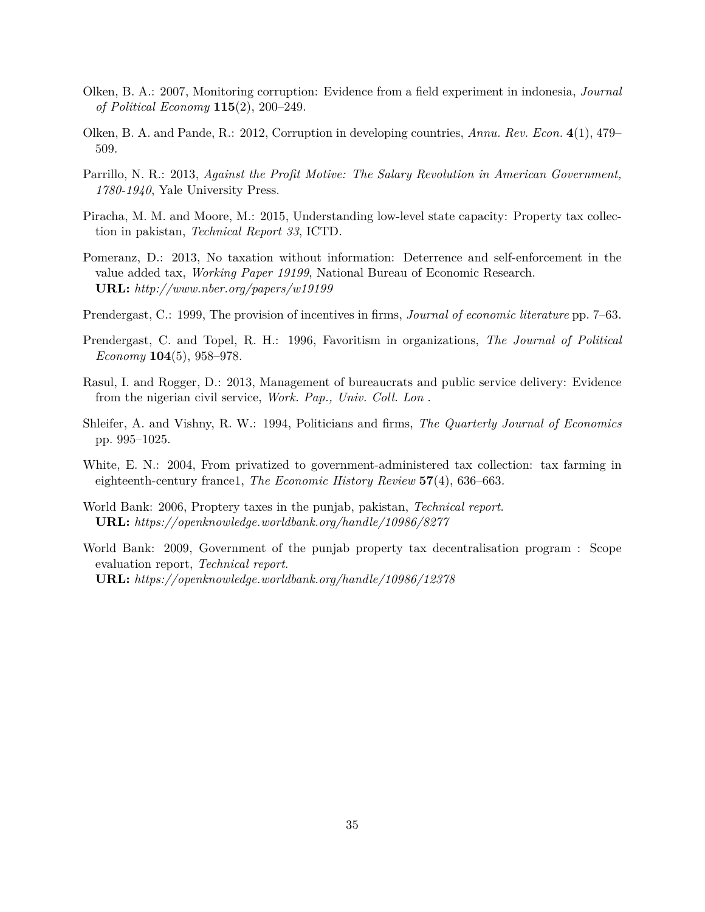- Olken, B. A.: 2007, Monitoring corruption: Evidence from a field experiment in indonesia, *Journal of Political Economy* **115**(2), 200–249.
- Olken, B. A. and Pande, R.: 2012, Corruption in developing countries, *Annu. Rev. Econ.* **4**(1), 479– 509.
- Parrillo, N. R.: 2013, *Against the Profit Motive: The Salary Revolution in American Government, 1780-1940*, Yale University Press.
- Piracha, M. M. and Moore, M.: 2015, Understanding low-level state capacity: Property tax collection in pakistan, *Technical Report 33*, ICTD.
- Pomeranz, D.: 2013, No taxation without information: Deterrence and self-enforcement in the value added tax, *Working Paper 19199*, National Bureau of Economic Research. **URL:** *http://www.nber.org/papers/w19199*
- Prendergast, C.: 1999, The provision of incentives in firms, *Journal of economic literature* pp. 7–63.
- Prendergast, C. and Topel, R. H.: 1996, Favoritism in organizations, *The Journal of Political Economy* **104**(5), 958–978.
- Rasul, I. and Rogger, D.: 2013, Management of bureaucrats and public service delivery: Evidence from the nigerian civil service, *Work. Pap., Univ. Coll. Lon* .
- Shleifer, A. and Vishny, R. W.: 1994, Politicians and firms, *The Quarterly Journal of Economics* pp. 995–1025.
- White, E. N.: 2004, From privatized to government-administered tax collection: tax farming in eighteenth-century france1, *The Economic History Review* **57**(4), 636–663.
- World Bank: 2006, Proptery taxes in the punjab, pakistan, *Technical report*. **URL:** *https://openknowledge.worldbank.org/handle/10986/8277*
- World Bank: 2009, Government of the punjab property tax decentralisation program : Scope evaluation report, *Technical report*. **URL:** *https://openknowledge.worldbank.org/handle/10986/12378*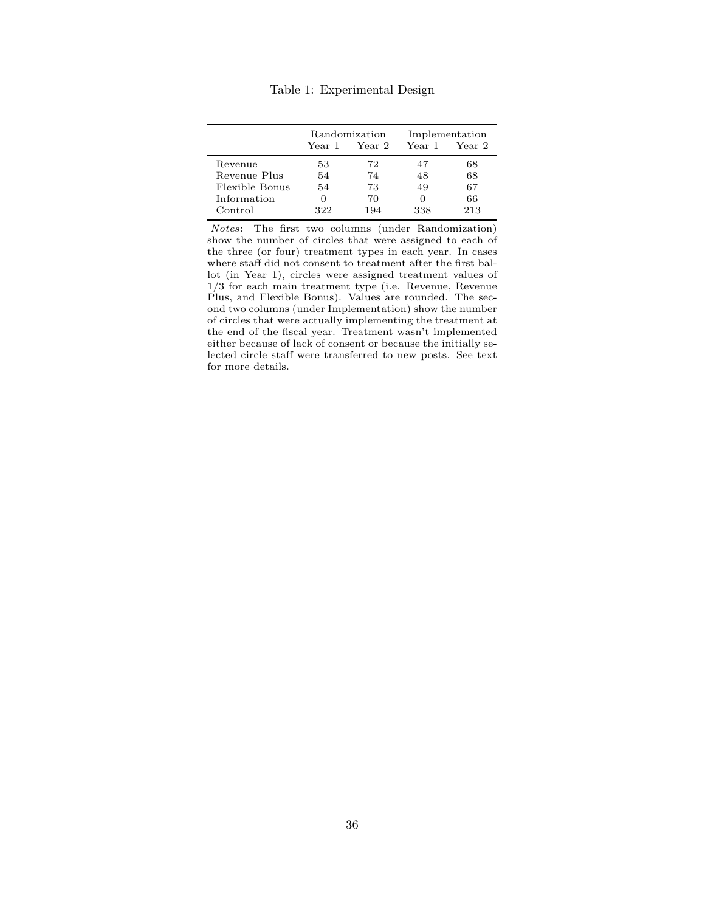|                | Year 1 | Randomization<br>Year 2 | Implementation<br>Year 2<br>Year 1 |     |  |
|----------------|--------|-------------------------|------------------------------------|-----|--|
| Revenue        | 53     | 72                      | 47                                 | 68  |  |
| Revenue Plus   | 54     | 74                      | 48                                 | 68  |  |
| Flexible Bonus | 54     | 73                      | 49                                 | 67  |  |
| Information    |        | 70                      |                                    | 66  |  |
| Control        | 322    | 194                     | 338                                | 213 |  |

Table 1: Experimental Design

Notes: The first two columns (under Randomization) show the number of circles that were assigned to each of the three (or four) treatment types in each year. In cases where staff did not consent to treatment after the first ballot (in Year 1), circles were assigned treatment values of 1/3 for each main treatment type (i.e. Revenue, Revenue Plus, and Flexible Bonus). Values are rounded. The second two columns (under Implementation) show the number of circles that were actually implementing the treatment at the end of the fiscal year. Treatment wasn't implemented either because of lack of consent or because the initially selected circle staff were transferred to new posts. See text for more details.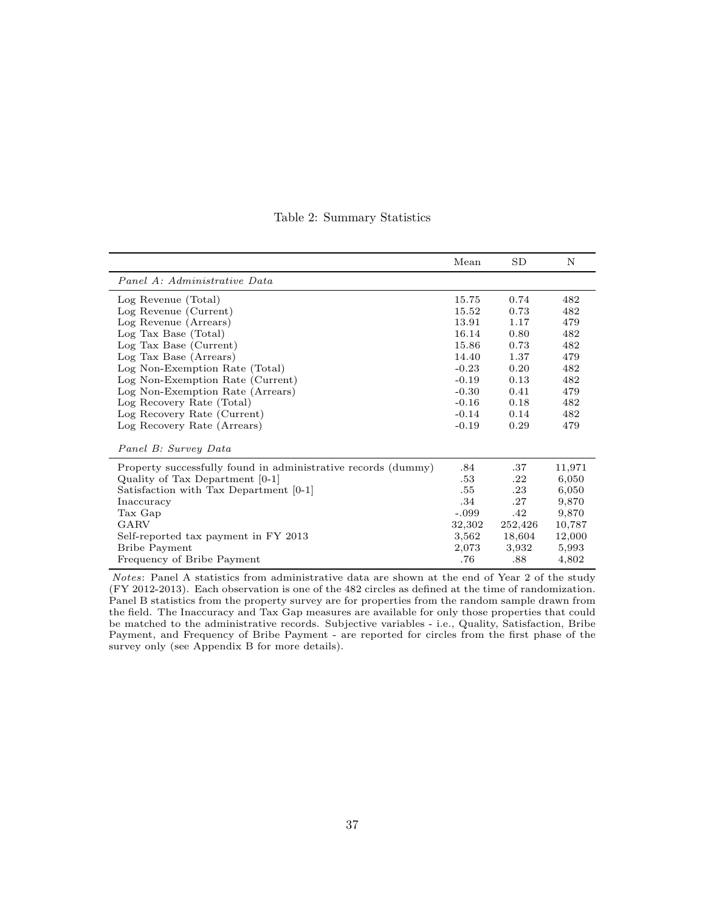|                                                               | Mean    | SD      | N      |
|---------------------------------------------------------------|---------|---------|--------|
| Panel A: Administrative Data                                  |         |         |        |
| Log Revenue (Total)                                           | 15.75   | 0.74    | 482    |
| Log Revenue (Current)                                         | 15.52   | 0.73    | 482    |
| Log Revenue (Arrears)                                         | 13.91   | 1.17    | 479    |
| Log Tax Base (Total)                                          | 16.14   | 0.80    | 482    |
| Log Tax Base (Current)                                        | 15.86   | 0.73    | 482    |
| Log Tax Base (Arrears)                                        | 14.40   | 1.37    | 479    |
| Log Non-Exemption Rate (Total)                                | $-0.23$ | 0.20    | 482    |
| Log Non-Exemption Rate (Current)                              | $-0.19$ | 0.13    | 482    |
| Log Non-Exemption Rate (Arrears)                              | $-0.30$ | 0.41    | 479    |
| Log Recovery Rate (Total)                                     | $-0.16$ | 0.18    | 482    |
| Log Recovery Rate (Current)                                   | $-0.14$ | 0.14    | 482    |
| Log Recovery Rate (Arrears)                                   | $-0.19$ | 0.29    | 479    |
| Panel B: Survey Data                                          |         |         |        |
| Property successfully found in administrative records (dummy) | .84     | .37     | 11,971 |
| Quality of Tax Department [0-1]                               | .53     | .22     | 6,050  |
| Satisfaction with Tax Department [0-1]                        | .55     | .23     | 6,050  |
| Inaccuracy                                                    | .34     | .27     | 9,870  |
| Tax Gap                                                       | $-.099$ | .42     | 9,870  |
| GARV                                                          | 32,302  | 252,426 | 10,787 |
| Self-reported tax payment in FY 2013                          | 3,562   | 18,604  | 12,000 |
| <b>Bribe Payment</b>                                          | 2,073   | 3,932   | 5,993  |
| Frequency of Bribe Payment                                    | .76     | .88     | 4,802  |

### Table 2: Summary Statistics

Notes: Panel A statistics from administrative data are shown at the end of Year 2 of the study (FY 2012-2013). Each observation is one of the 482 circles as defined at the time of randomization. Panel B statistics from the property survey are for properties from the random sample drawn from the field. The Inaccuracy and Tax Gap measures are available for only those properties that could be matched to the administrative records. Subjective variables - i.e., Quality, Satisfaction, Bribe Payment, and Frequency of Bribe Payment - are reported for circles from the first phase of the survey only (see Appendix B for more details).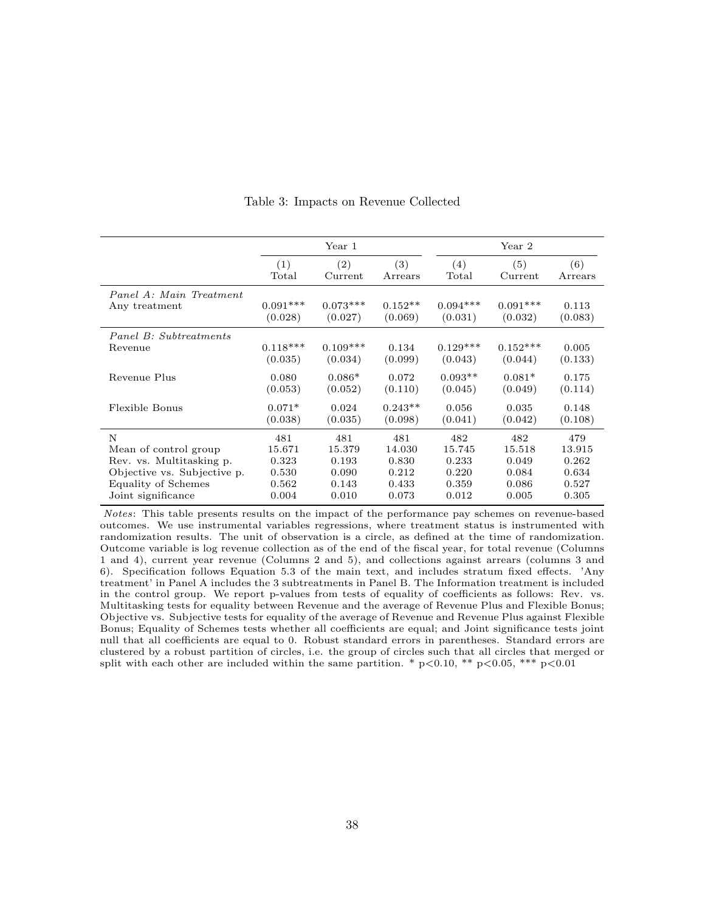|                             |                        | Year 1     |           |            | Year 2     |         |
|-----------------------------|------------------------|------------|-----------|------------|------------|---------|
|                             | (1)                    | (2)        | (3)       | (4)        | (5)        | (6)     |
|                             | $\operatorname{Total}$ | Current    | Arrears   | Total      | Current    | Arrears |
| Panel A: Main Treatment     | $0.091***$             | $0.073***$ | $0.152**$ | $0.094***$ | $0.091***$ | 0.113   |
| Any treatment               | (0.028)                | (0.027)    | (0.069)   | (0.031)    | (0.032)    | (0.083) |
| Panel B: Subtreatments      | $0.118***$             | $0.109***$ | 0.134     | $0.129***$ | $0.152***$ | 0.005   |
| Revenue                     | (0.035)                | (0.034)    | (0.099)   | (0.043)    | (0.044)    | (0.133) |
| Revenue Plus                | 0.080                  | $0.086*$   | 0.072     | $0.093**$  | $0.081*$   | 0.175   |
|                             | (0.053)                | (0.052)    | (0.110)   | (0.045)    | (0.049)    | (0.114) |
| Flexible Bonus              | $0.071*$               | 0.024      | $0.243**$ | 0.056      | 0.035      | 0.148   |
|                             | (0.038)                | (0.035)    | (0.098)   | (0.041)    | (0.042)    | (0.108) |
| N                           | 481                    | 481        | 481       | 482        | 482        | 479     |
| Mean of control group       | 15.671                 | 15.379     | 14.030    | 15.745     | 15.518     | 13.915  |
| Rev. vs. Multitasking p.    | 0.323                  | 0.193      | 0.830     | 0.233      | 0.049      | 0.262   |
| Objective vs. Subjective p. | 0.530                  | 0.090      | 0.212     | 0.220      | 0.084      | 0.634   |
| Equality of Schemes         | 0.562                  | 0.143      | 0.433     | 0.359      | 0.086      | 0.527   |
| Joint significance          | 0.004                  | 0.010      | 0.073     | 0.012      | 0.005      | 0.305   |

Table 3: Impacts on Revenue Collected

Notes: This table presents results on the impact of the performance pay schemes on revenue-based outcomes. We use instrumental variables regressions, where treatment status is instrumented with randomization results. The unit of observation is a circle, as defined at the time of randomization. Outcome variable is log revenue collection as of the end of the fiscal year, for total revenue (Columns 1 and 4), current year revenue (Columns 2 and 5), and collections against arrears (columns 3 and 6). Specification follows Equation 5.3 of the main text, and includes stratum fixed effects. 'Any treatment' in Panel A includes the 3 subtreatments in Panel B. The Information treatment is included in the control group. We report p-values from tests of equality of coefficients as follows: Rev. vs. Multitasking tests for equality between Revenue and the average of Revenue Plus and Flexible Bonus; Objective vs. Subjective tests for equality of the average of Revenue and Revenue Plus against Flexible Bonus; Equality of Schemes tests whether all coefficients are equal; and Joint significance tests joint null that all coefficients are equal to 0. Robust standard errors in parentheses. Standard errors are clustered by a robust partition of circles, i.e. the group of circles such that all circles that merged or split with each other are included within the same partition. \*  $p<0.10$ , \*\*  $p<0.05$ , \*\*\*  $p<0.01$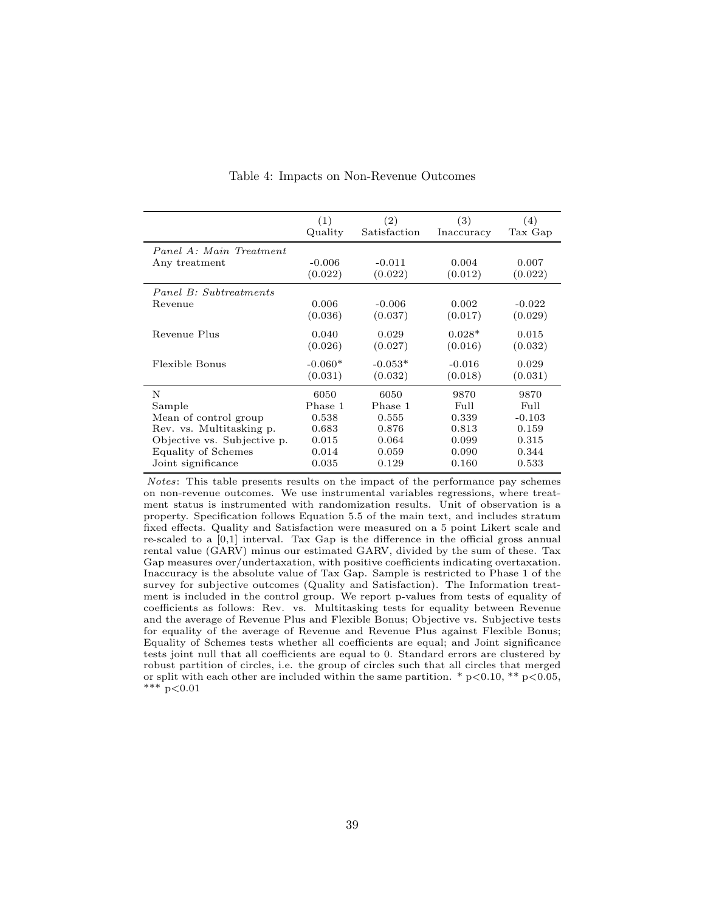|                             | (1)       | (2)          | (3)        | (4)      |
|-----------------------------|-----------|--------------|------------|----------|
|                             | Quality   | Satisfaction | Inaccuracy | Tax Gap  |
| Panel A: Main Treatment     | $-0.006$  | $-0.011$     | 0.004      | 0.007    |
| Any treatment               | (0.022)   | (0.022)      | (0.012)    | (0.022)  |
| Panel B: Subtreatments      | 0.006     | $-0.006$     | 0.002      | $-0.022$ |
| Revenue                     | (0.036)   | (0.037)      | (0.017)    | (0.029)  |
| Revenue Plus                | 0.040     | 0.029        | $0.028*$   | 0.015    |
|                             | (0.026)   | (0.027)      | (0.016)    | (0.032)  |
| Flexible Bonus              | $-0.060*$ | $-0.053*$    | $-0.016$   | 0.029    |
|                             | (0.031)   | (0.032)      | (0.018)    | (0.031)  |
| N                           | 6050      | 6050         | 9870       | 9870     |
| Sample                      | Phase 1   | Phase 1      | Full       | Full     |
| Mean of control group       | 0.538     | 0.555        | 0.339      | $-0.103$ |
| Rev. vs. Multitasking p.    | 0.683     | 0.876        | 0.813      | 0.159    |
| Objective vs. Subjective p. | 0.015     | 0.064        | 0.099      | 0.315    |
| Equality of Schemes         | 0.014     | 0.059        | 0.090      | 0.344    |
| Joint significance          | 0.035     | 0.129        | 0.160      | 0.533    |

#### Table 4: Impacts on Non-Revenue Outcomes

Notes: This table presents results on the impact of the performance pay schemes on non-revenue outcomes. We use instrumental variables regressions, where treatment status is instrumented with randomization results. Unit of observation is a property. Specification follows Equation 5.5 of the main text, and includes stratum fixed effects. Quality and Satisfaction were measured on a 5 point Likert scale and re-scaled to a [0,1] interval. Tax Gap is the difference in the official gross annual rental value (GARV) minus our estimated GARV, divided by the sum of these. Tax Gap measures over/undertaxation, with positive coefficients indicating overtaxation. Inaccuracy is the absolute value of Tax Gap. Sample is restricted to Phase 1 of the survey for subjective outcomes (Quality and Satisfaction). The Information treatment is included in the control group. We report p-values from tests of equality of coefficients as follows: Rev. vs. Multitasking tests for equality between Revenue and the average of Revenue Plus and Flexible Bonus; Objective vs. Subjective tests for equality of the average of Revenue and Revenue Plus against Flexible Bonus; Equality of Schemes tests whether all coefficients are equal; and Joint significance tests joint null that all coefficients are equal to 0. Standard errors are clustered by robust partition of circles, i.e. the group of circles such that all circles that merged or split with each other are included within the same partition. \*  $p<0.10$ , \*\*  $p<0.05$ , \*\*\* p<0.01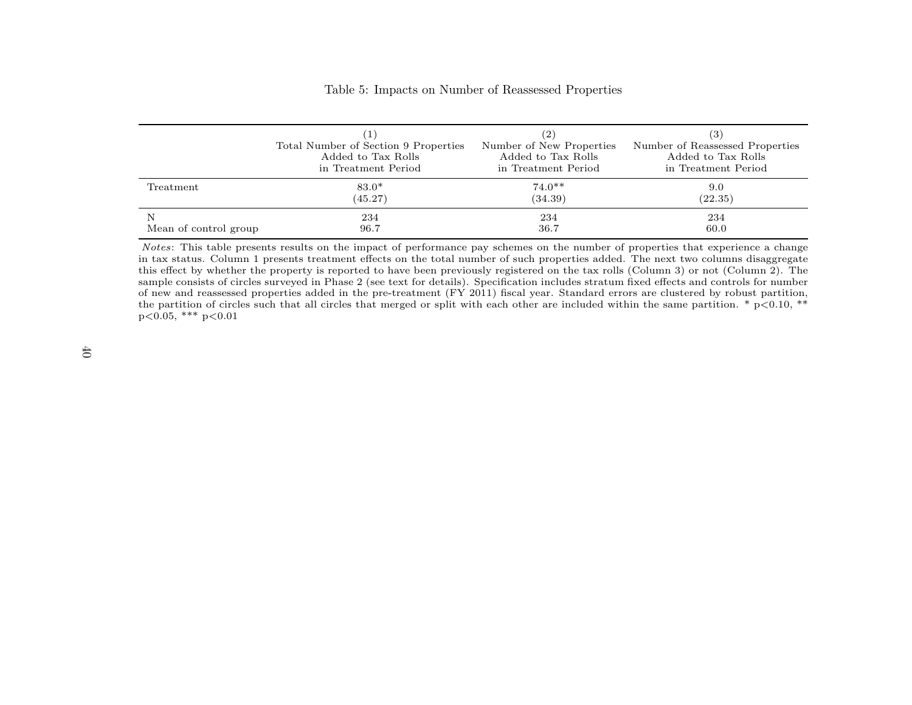|                       | Total Number of Section 9 Properties<br>Added to Tax Rolls<br>in Treatment Period | (2)<br>Number of New Properties<br>Added to Tax Rolls<br>in Treatment Period | (3)<br>Number of Reassessed Properties<br>Added to Tax Rolls<br>in Treatment Period |
|-----------------------|-----------------------------------------------------------------------------------|------------------------------------------------------------------------------|-------------------------------------------------------------------------------------|
| Treatment             | $83.0*$                                                                           | $74.0**$                                                                     | 9.0                                                                                 |
|                       | (45.27)                                                                           | (34.39)                                                                      | (22.35)                                                                             |
| N                     | 234                                                                               | 234                                                                          | 234                                                                                 |
| Mean of control group | 96.7                                                                              | 36.7                                                                         | 60.0                                                                                |

Table 5: Impacts on Number of Reassessed Properties

Notes: This table presents results on the impact of performance pay schemes on the number of properties that experience a change in tax status. Column 1 presents treatment effects on the total number of such properties added. The next two columns disaggregate this effect by whether the property is reported to have been previously registered on the tax rolls (Column 3) or not (Column 2). The sample consists of circles surveyed in Phase 2 (see text for details). Specification includes stratum fixed effects and controls for number of new and reassessed properties added in the pre-treatment (FY 2011) fiscal year. Standard errors are clustered by robust partition,the partition of circles such that all circles that merged or split with each other are included within the same partition.  $*$  p $< 0.10, **$  $p<0.05$ , \*\*\*  $p<0.01$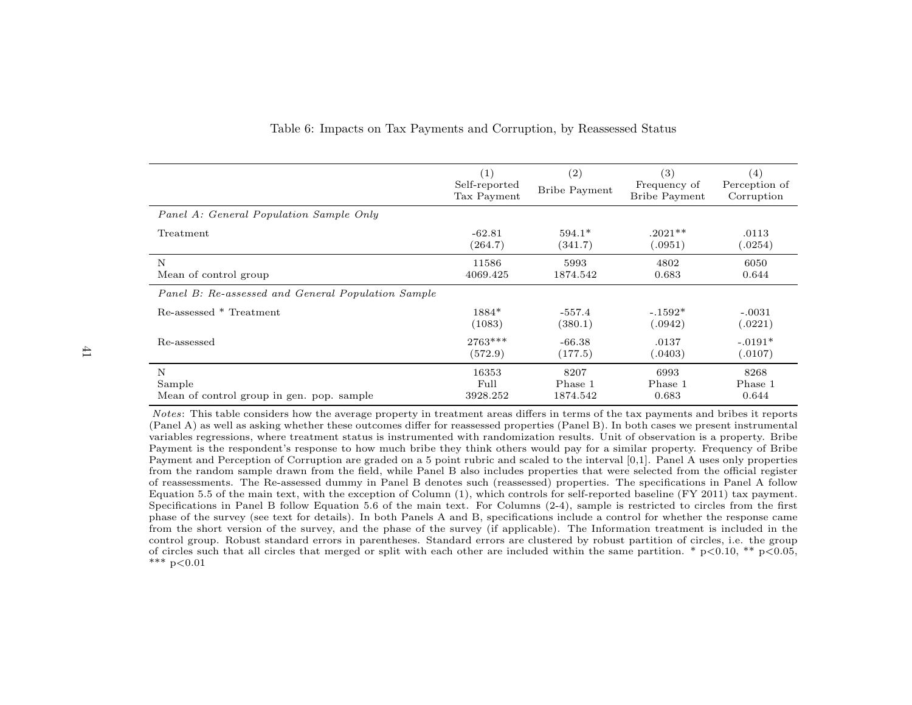|                                                    | (1)<br>Self-reported<br>Tax Payment | (2)<br><b>Bribe Payment</b> | (3)<br>Frequency of<br><b>Bribe Payment</b> | (4)<br>Perception of<br>Corruption |
|----------------------------------------------------|-------------------------------------|-----------------------------|---------------------------------------------|------------------------------------|
| Panel A: General Population Sample Only            |                                     |                             |                                             |                                    |
| Treatment                                          | $-62.81$                            | $594.1*$                    | $.2021**$                                   | .0113                              |
|                                                    | (264.7)                             | (341.7)                     | 0.0951)                                     | (.0254)                            |
| N                                                  | 11586                               | 5993                        | 4802                                        | 6050                               |
| Mean of control group                              | 4069.425                            | 1874.542                    | 0.683                                       | 0.644                              |
| Panel B: Re-assessed and General Population Sample |                                     |                             |                                             |                                    |
| Re-assessed * Treatment                            | 1884*                               | $-557.4$                    | $-.1592*$                                   | $-.0031$                           |
|                                                    | (1083)                              | (380.1)                     | (.0942)                                     | (.0221)                            |
| Re-assessed                                        | 2763***                             | $-66.38$                    | .0137                                       | $-.0191*$                          |
|                                                    | (572.9)                             | (177.5)                     | 0.0403)                                     | (.0107)                            |
| N                                                  | 16353                               | 8207                        | 6993                                        | 8268                               |
| Sample                                             | Full                                | Phase 1                     | Phase 1                                     | Phase 1                            |
| Mean of control group in gen. pop. sample          | 3928.252                            | 1874.542                    | 0.683                                       | 0.644                              |

#### Table 6: Impacts on Tax Payments and Corruption, by Reassessed Status

Notes: This table considers how the average property in treatment areas differs in terms of the tax payments and bribes it reports (Panel A) as well as asking whether these outcomes differ for reassessed properties (Panel B). In both cases we present instrumental variables regressions, where treatment status is instrumented with randomization results. Unit of observation is a property. Bribe Payment is the respondent's response to how much bribe they think others would pay for a similar property. Frequency of Bribe Payment and Perception of Corruption are graded on a 5 point rubric and scaled to the interval [0,1]. Panel A uses only properties from the random sample drawn from the field, while Panel B also includes properties that were selected from the official register of reassessments. The Re-assessed dummy in Panel B denotes such (reassessed) properties. The specifications in Panel A follow Equation 5.5 of the main text, with the exception of Column (1), which controls for self-reported baseline (FY 2011) tax payment. Specifications in Panel B follow Equation 5.6 of the main text. For Columns (2-4), sample is restricted to circles from the first phase of the survey (see text for details). In both Panels A and B, specifications include a control for whether the response came from the short version of the survey, and the phase of the survey (if applicable). The Information treatment is included in the control group. Robust standard errors in parentheses. Standard errors are clustered by robust partition of circles, i.e. the groupof circles such that all circles that merged or split with each other are included within the same partition. \*  $p<0.10$ , \*\*  $p<0.05$ , \*\*\*  $p<0.01$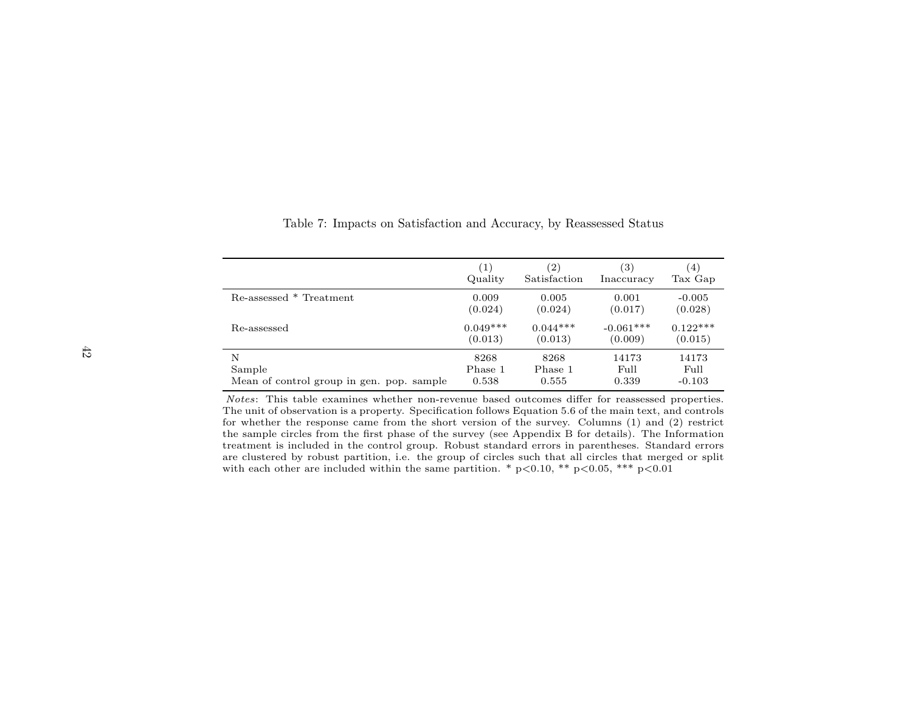|                                           | (1)        | (2)          | (3)         | $\left(4\right)$ |
|-------------------------------------------|------------|--------------|-------------|------------------|
|                                           | Quality    | Satisfaction | Inaccuracy  | Tax Gap          |
| Re-assessed * Treatment                   | 0.009      | 0.005        | 0.001       | $-0.005$         |
|                                           | (0.024)    | (0.024)      | (0.017)     | (0.028)          |
| Re-assessed                               | $0.049***$ | $0.044***$   | $-0.061***$ | $0.122***$       |
|                                           | (0.013)    | (0.013)      | (0.009)     | (0.015)          |
| N                                         | 8268       | 8268         | 14173       | 14173            |
| Sample                                    | Phase 1    | Phase 1      | Full        | Full             |
| Mean of control group in gen. pop. sample | 0.538      | 0.555        | 0.339       | $-0.103$         |

Table 7: Impacts on Satisfaction and Accuracy, by Reassessed Status

Notes: This table examines whether non-revenue based outcomes differ for reassessed properties. The unit of observation is a property. Specification follows Equation 5.6 of the main text, and controls for whether the response came from the short version of the survey. Columns (1) and (2) restrict the sample circles from the first phase of the survey (see Appendix B for details). The Information treatment is included in the control group. Robust standard errors in parentheses. Standard errors are clustered by robust partition, i.e. the group of circles such that all circles that merged or splitwith each other are included within the same partition. \*  $p < 0.10$ , \*\*  $p < 0.05$ , \*\*\*  $p < 0.01$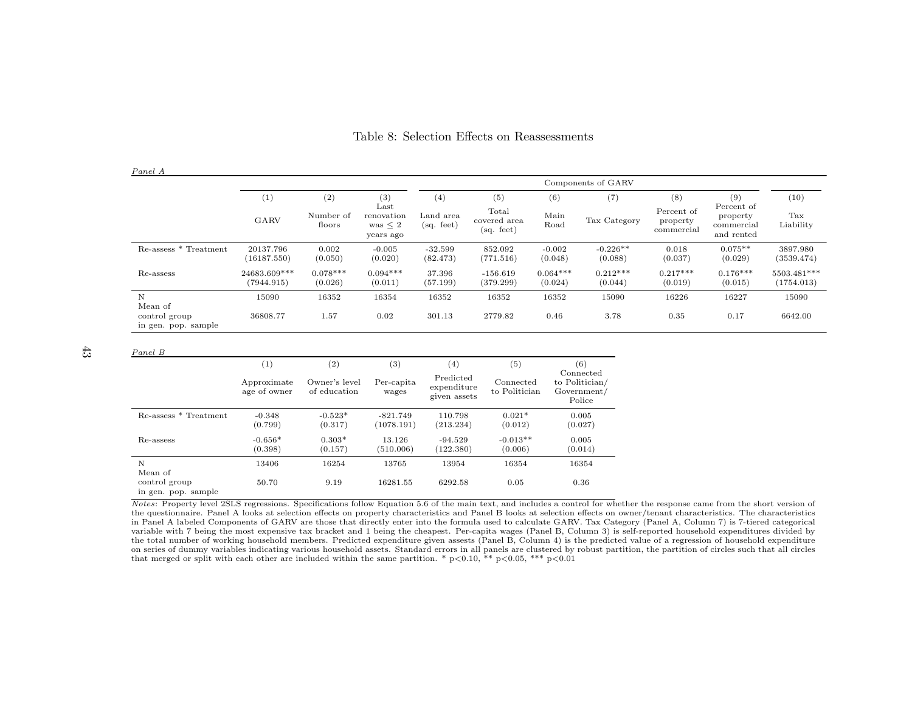| Panel A                                         |                            |                       |                                                          |                         |                                     |                       |                       |                                      |                                                    |                                   |
|-------------------------------------------------|----------------------------|-----------------------|----------------------------------------------------------|-------------------------|-------------------------------------|-----------------------|-----------------------|--------------------------------------|----------------------------------------------------|-----------------------------------|
|                                                 |                            |                       |                                                          |                         | Components of GARV                  |                       |                       |                                      |                                                    |                                   |
|                                                 | (1)                        | (2)                   | (3)                                                      | $^{(4)}$                | (5)                                 | (6)                   | (7)                   | (8)                                  | (9)                                                | (10)                              |
|                                                 | GARV                       | Number of<br>floors   | $_{\rm Last}$<br>renovation<br>was $\leq 2$<br>years ago | Land area<br>(sq. feet) | Total<br>covered area<br>(sq. feet) | Main<br>Road          | Tax Category          | Percent of<br>property<br>commercial | Percent of<br>property<br>commercial<br>and rented | $\operatorname{Tax}$<br>Liability |
| Re-assess * Treatment                           | 20137.796<br>(16187.550)   | 0.002<br>(0.050)      | $-0.005$<br>(0.020)                                      | $-32.599$<br>(82.473)   | 852.092<br>(771.516)                | $-0.002$<br>(0.048)   | $-0.226**$<br>(0.088) | 0.018<br>(0.037)                     | $0.075**$<br>(0.029)                               | 3897.980<br>(3539.474)            |
| Re-assess                                       | 24683.609***<br>(7944.915) | $0.078***$<br>(0.026) | $0.094***$<br>(0.011)                                    | 37.396<br>(57.199)      | $-156.619$<br>(379.299)             | $0.064***$<br>(0.024) | $0.212***$<br>(0.044) | $0.217***$<br>(0.019)                | $0.176***$<br>(0.015)                              | 5503.481***<br>(1754.013)         |
| N                                               | 15090                      | 16352                 | 16354                                                    | 16352                   | 16352                               | 16352                 | 15090                 | 16226                                | 16227                                              | 15090                             |
| Mean of<br>control group<br>in gen. pop. sample | 36808.77                   | 1.57                  | 0.02                                                     | 301.13                  | 2779.82                             | 0.46                  | 3.78                  | 0.35                                 | 0.17                                               | 6642.00                           |

# Table 8: Selection Effects on Reassessments

Panel B

|                                                 | (1)                         | $^{\left( 2\right) }$         | (3)                      | $^{(4)}$                                 | $\left( 5\right)$          | (6)                                                  |
|-------------------------------------------------|-----------------------------|-------------------------------|--------------------------|------------------------------------------|----------------------------|------------------------------------------------------|
|                                                 | Approximate<br>age of owner | Owner's level<br>of education | Per-capita<br>wages      | Predicted<br>expenditure<br>given assets | Connected<br>to Politician | Connected<br>to Politician/<br>Government/<br>Police |
| Re-assess * Treatment                           | $-0.348$<br>(0.799)         | $-0.523*$<br>(0.317)          | $-821.749$<br>(1078.191) | 110.798<br>(213.234)                     | $0.021*$<br>(0.012)        | 0.005<br>(0.027)                                     |
| Re-assess                                       | $-0.656*$<br>(0.398)        | $0.303*$<br>(0.157)           | 13.126<br>(510.006)      | $-94.529$<br>(122.380)                   | $-0.013**$<br>(0.006)      | 0.005<br>(0.014)                                     |
| N                                               | 13406                       | 16254                         | 13765                    | 13954                                    | 16354                      | 16354                                                |
| Mean of<br>control group<br>in gen. pop. sample | 50.70                       | 9.19                          | 16281.55                 | 6292.58                                  | 0.05                       | 0.36                                                 |

Notes: Property level 2SLS regressions. Specifications follow Equation 5.6 of the main text, and includes a control for whether the response came from the short version of the questionnaire. Panel A looks at selection effects on property characteristics and Panel B looks at selection effects on owner/tenant characteristics. The characteristics in Panel A labeled Components of GARV are those that directly enter into the formula used to calculate GARV. Tax Category (Panel A, Column 7) is 7-tiered categorical variable with 7 being the most expensive tax bracket and 1 being the cheapest. Per-capita wages (Panel B, Column 3) is self-reported household expenditures divided by the total number of working household members. Predicted expenditure given assests (Panel B, Column 4) is the predicted value of a regression of household expenditureon series of dummy variables indicating various household assets. Standard errors in all panels are clustered by robust partition, the partition of circles such that all circles<br>that merged or split with each other are inc